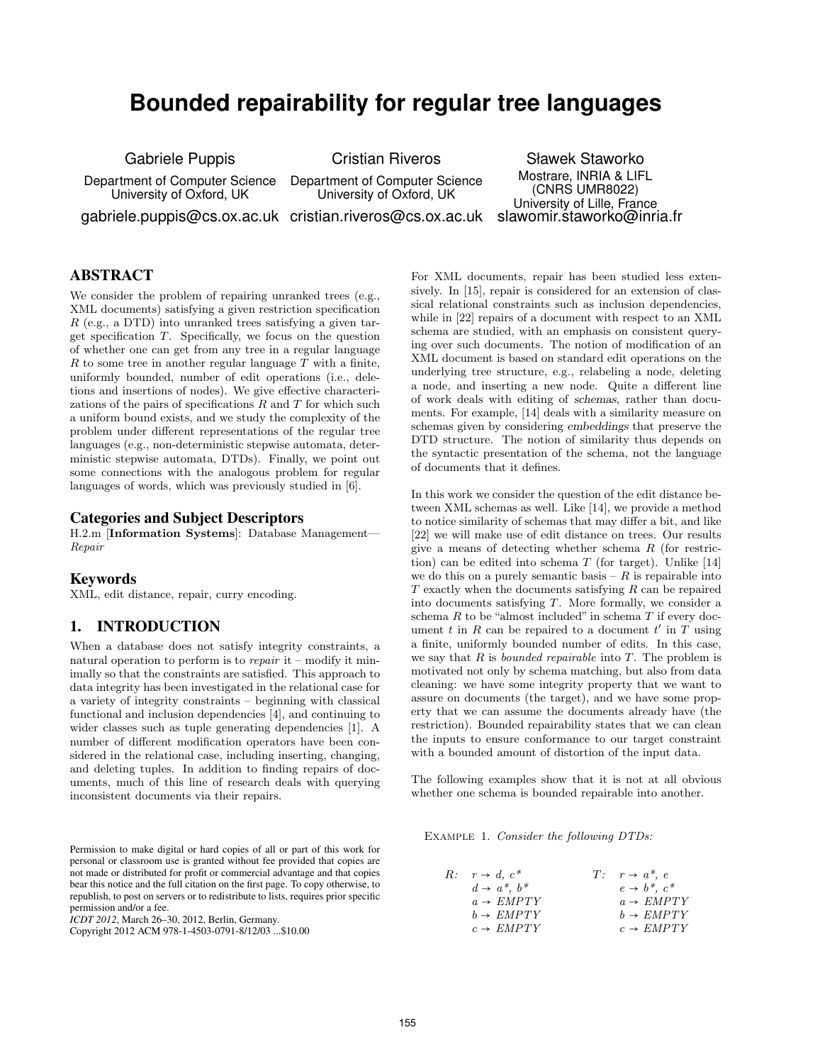# **Bounded repairability for regular tree languages**

Gabriele Puppis

Department of Computer Science University of Oxford, UK

Cristian Riveros

Department of Computer Science University of Oxford, UK

Sławek Staworko Mostrare, INRIA & LIFL (CNRS UMR8022) University of Lille, France slawomir.staworko@inria.fr

gabriele.puppis@cs.ox.ac.uk cristian.riveros@cs.ox.ac.uk

# ABSTRACT

We consider the problem of repairing unranked trees (e.g., XML documents) satisfying a given restriction specification  $R$  (e.g., a DTD) into unranked trees satisfying a given target specification T. Specifically, we focus on the question of whether one can get from any tree in a regular language R to some tree in another regular language  $\overline{T}$  with a finite, uniformly bounded, number of edit operations (i.e., deletions and insertions of nodes). We give effective characterizations of the pairs of specifications  $R$  and  $T$  for which such a uniform bound exists, and we study the complexity of the problem under different representations of the regular tree languages (e.g., non-deterministic stepwise automata, deterministic stepwise automata, DTDs). Finally, we point out some connections with the analogous problem for regular languages of words, which was previously studied in [6].

#### Categories and Subject Descriptors

H.2.m [Information Systems]: Database Management— Repair

#### Keywords

XML, edit distance, repair, curry encoding.

#### 1. INTRODUCTION

When a database does not satisfy integrity constraints, a natural operation to perform is to *repair* it – modify it minimally so that the constraints are satisfied. This approach to data integrity has been investigated in the relational case for a variety of integrity constraints – beginning with classical functional and inclusion dependencies [4], and continuing to wider classes such as tuple generating dependencies [1]. A number of different modification operators have been considered in the relational case, including inserting, changing, and deleting tuples. In addition to finding repairs of documents, much of this line of research deals with querying inconsistent documents via their repairs.

Permission to make digital or hard copies of all or part of this work for personal or classroom use is granted without fee provided that copies are not made or distributed for profit or commercial advantage and that copies bear this notice and the full citation on the first page. To copy otherwise, to republish, to post on servers or to redistribute to lists, requires prior specific permission and/or a fee.

*ICDT 2012*, March 26–30, 2012, Berlin, Germany.

Copyright 2012 ACM 978-1-4503-0791-8/12/03 ...\$10.00

For XML documents, repair has been studied less extensively. In [15], repair is considered for an extension of classical relational constraints such as inclusion dependencies, while in [22] repairs of a document with respect to an XML schema are studied, with an emphasis on consistent querying over such documents. The notion of modification of an XML document is based on standard edit operations on the underlying tree structure, e.g., relabeling a node, deleting a node, and inserting a new node. Quite a different line of work deals with editing of schemas, rather than documents. For example, [14] deals with a similarity measure on schemas given by considering embeddings that preserve the DTD structure. The notion of similarity thus depends on the syntactic presentation of the schema, not the language of documents that it defines.

In this work we consider the question of the edit distance between XML schemas as well. Like [14], we provide a method to notice similarity of schemas that may differ a bit, and like [22] we will make use of edit distance on trees. Our results give a means of detecting whether schema R (for restriction) can be edited into schema  $T$  (for target). Unlike [14] we do this on a purely semantic basis  $-R$  is repairable into  $T$  exactly when the documents satisfying  $R$  can be repaired into documents satisfying T. More formally, we consider a schema  $R$  to be "almost included" in schema  $T$  if every document t in R can be repaired to a document  $t'$  in T using a finite, uniformly bounded number of edits. In this case, we say that  $R$  is *bounded repairable* into  $T$ . The problem is motivated not only by schema matching, but also from data cleaning: we have some integrity property that we want to assure on documents (the target), and we have some property that we can assume the documents already have (the restriction). Bounded repairability states that we can clean the inputs to ensure conformance to our target constraint with a bounded amount of distortion of the input data.

The following examples show that it is not at all obvious whether one schema is bounded repairable into another.

Example 1. Consider the following DTDs:

| $R: r \rightarrow d, c^*$ | $T: r \rightarrow a^*, e$   |
|---------------------------|-----------------------------|
| $d \rightarrow a^*, b^*$  | $e \rightarrow b^*$ , $c^*$ |
| $a \rightarrow EMPTY$     | $a \rightarrow EMPTY$       |
| $b \rightarrow EMPTY$     | $b \rightarrow EMPTY$       |
| $c \rightarrow EMPTY$     | $c \rightarrow EMPTY$       |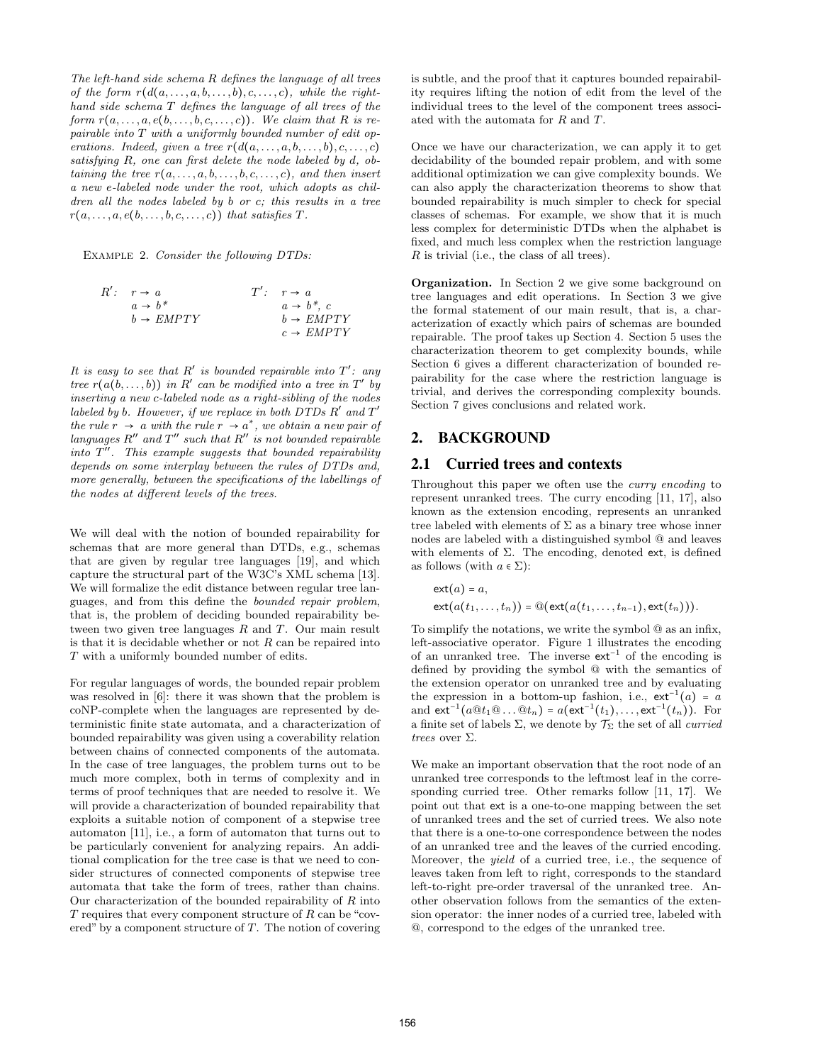The left-hand side schema R defines the language of all trees of the form  $r(d(a, \ldots, a, b, \ldots, b), c, \ldots, c)$ , while the righthand side schema T defines the language of all trees of the form  $r(a, \ldots, a, e(b, \ldots, b, c, \ldots, c))$ . We claim that R is repairable into T with a uniformly bounded number of edit operations. Indeed, given a tree  $r(d(a, \ldots, a, b, \ldots, b), c, \ldots, c)$ satisfying R, one can first delete the node labeled by d, obtaining the tree  $r(a, \ldots, a, b, \ldots, b, c, \ldots, c)$ , and then insert a new e-labeled node under the root, which adopts as children all the nodes labeled by b or c; this results in a tree  $r(a, \ldots, a, e(b, \ldots, b, c, \ldots, c))$  that satisfies  $T$ .

Example 2. Consider the following DTDs:

$$
R': r \rightarrow a
$$
  
\n $a \rightarrow b^*$   
\n $b \rightarrow EMPTY$   
\n $c \rightarrow EMPTY$   
\n $r'': r \rightarrow a$   
\n $a \rightarrow b^*, c$   
\n $b \rightarrow EMPTY$ 

It is easy to see that  $R'$  is bounded repairable into  $T'$ : any tree  $r(a(b, \ldots, b))$  in R' can be modified into a tree in T' by inserting a new c-labeled node as a right-sibling of the nodes labeled by b. However, if we replace in both  $DTDs R'$  and  $T'$ the rule  $r \rightarrow a$  with the rule  $r \rightarrow a^*$ , we obtain a new pair of languages  $R''$  and  $T''$  such that  $R''$  is not bounded repairable  $into T''$ . This example suggests that bounded repairability depends on some interplay between the rules of DTDs and, more generally, between the specifications of the labellings of the nodes at different levels of the trees.

We will deal with the notion of bounded repairability for schemas that are more general than DTDs, e.g., schemas that are given by regular tree languages [19], and which capture the structural part of the W3C's XML schema [13]. We will formalize the edit distance between regular tree languages, and from this define the bounded repair problem, that is, the problem of deciding bounded repairability between two given tree languages  $R$  and  $T$ . Our main result is that it is decidable whether or not  $R$  can be repaired into T with a uniformly bounded number of edits.

For regular languages of words, the bounded repair problem was resolved in [6]: there it was shown that the problem is coNP-complete when the languages are represented by deterministic finite state automata, and a characterization of bounded repairability was given using a coverability relation between chains of connected components of the automata. In the case of tree languages, the problem turns out to be much more complex, both in terms of complexity and in terms of proof techniques that are needed to resolve it. We will provide a characterization of bounded repairability that exploits a suitable notion of component of a stepwise tree automaton [11], i.e., a form of automaton that turns out to be particularly convenient for analyzing repairs. An additional complication for the tree case is that we need to consider structures of connected components of stepwise tree automata that take the form of trees, rather than chains. Our characterization of the bounded repairability of  $R$  into  $T$  requires that every component structure of  $R$  can be "covered" by a component structure of  $T$ . The notion of covering is subtle, and the proof that it captures bounded repairability requires lifting the notion of edit from the level of the individual trees to the level of the component trees associated with the automata for R and T.

Once we have our characterization, we can apply it to get decidability of the bounded repair problem, and with some additional optimization we can give complexity bounds. We can also apply the characterization theorems to show that bounded repairability is much simpler to check for special classes of schemas. For example, we show that it is much less complex for deterministic DTDs when the alphabet is fixed, and much less complex when the restriction language R is trivial (i.e., the class of all trees).

Organization. In Section 2 we give some background on tree languages and edit operations. In Section 3 we give the formal statement of our main result, that is, a characterization of exactly which pairs of schemas are bounded repairable. The proof takes up Section 4. Section 5 uses the characterization theorem to get complexity bounds, while Section 6 gives a different characterization of bounded repairability for the case where the restriction language is trivial, and derives the corresponding complexity bounds. Section 7 gives conclusions and related work.

# 2. BACKGROUND

## 2.1 Curried trees and contexts

Throughout this paper we often use the curry encoding to represent unranked trees. The curry encoding [11, 17], also known as the extension encoding, represents an unranked tree labeled with elements of  $\Sigma$  as a binary tree whose inner nodes are labeled with a distinguished symbol @ and leaves with elements of  $\Sigma$ . The encoding, denoted ext, is defined as follows (with  $a \in \Sigma$ ):

$$
\mathsf{ext}(a) = a,
$$
  
 
$$
\mathsf{ext}(a(t_1,\ldots,t_n)) = \mathsf{Q}(\mathsf{ext}(a(t_1,\ldots,t_{n-1}),\mathsf{ext}(t_n))).
$$

To simplify the notations, we write the symbol @ as an infix, left-associative operator. Figure 1 illustrates the encoding of an unranked tree. The inverse  $ext^{-1}$  of the encoding is defined by providing the symbol @ with the semantics of the extension operator on unranked tree and by evaluating the expression in a bottom-up fashion, i.e.,  $ext^{-1}(a) = a$ and  $ext^{-1}(a@t_1@...@t_n) = a(\text{ext}^{-1}(t_1),..., \text{ext}^{-1}(t_n)).$  For a finite set of labels  $\Sigma$ , we denote by  $\mathcal{T}_{\Sigma}$  the set of all *curried* trees over Σ.

We make an important observation that the root node of an unranked tree corresponds to the leftmost leaf in the corresponding curried tree. Other remarks follow [11, 17]. We point out that ext is a one-to-one mapping between the set of unranked trees and the set of curried trees. We also note that there is a one-to-one correspondence between the nodes of an unranked tree and the leaves of the curried encoding. Moreover, the yield of a curried tree, i.e., the sequence of leaves taken from left to right, corresponds to the standard left-to-right pre-order traversal of the unranked tree. Another observation follows from the semantics of the extension operator: the inner nodes of a curried tree, labeled with @, correspond to the edges of the unranked tree.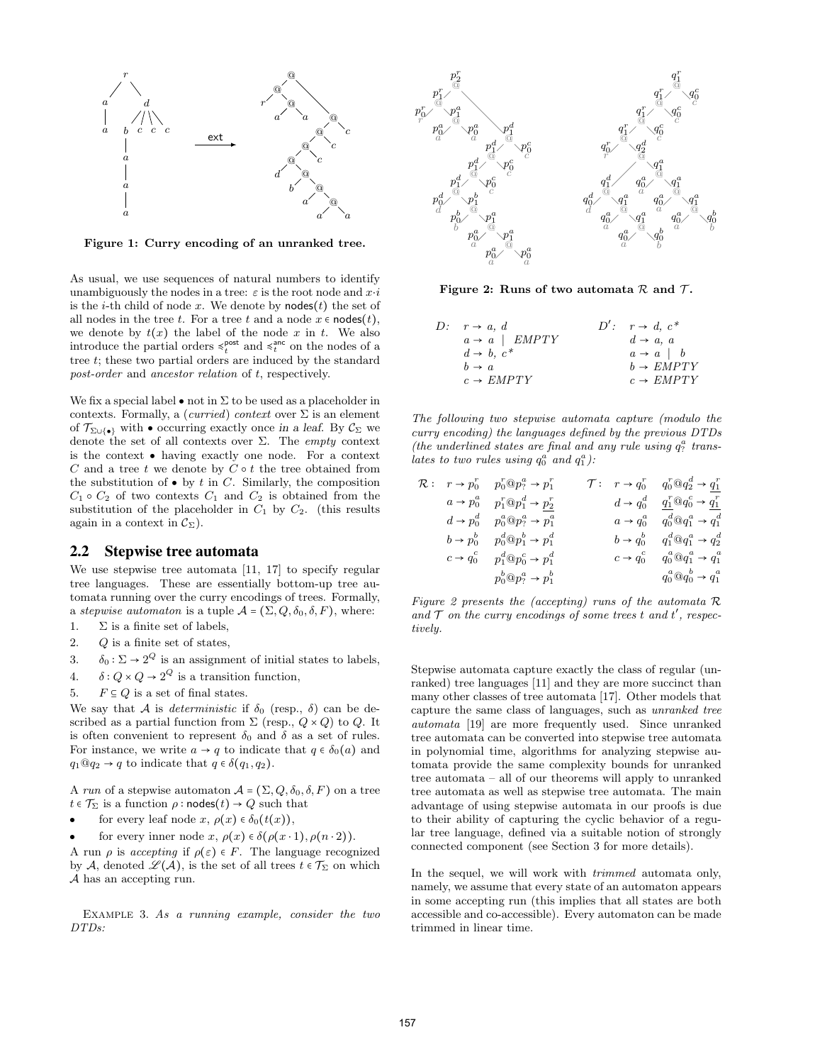

Figure 1: Curry encoding of an unranked tree.

As usual, we use sequences of natural numbers to identify unambiguously the nodes in a tree:  $\varepsilon$  is the root node and  $x \cdot i$ is the *i*-th child of node x. We denote by **nodes** $(t)$  the set of all nodes in the tree t. For a tree t and a node  $x \in \text{nodes}(t)$ , we denote by  $t(x)$  the label of the node x in t. We also introduce the partial orders  $\leq_t^{\text{post}}$  and  $\leq_t^{\text{anc}}$  on the nodes of a tree  $t$ ; these two partial orders are induced by the standard post-order and ancestor relation of t, respectively.

We fix a special label  $\bullet$  not in  $\Sigma$  to be used as a placeholder in contexts. Formally, a (*curried*) context over  $\Sigma$  is an element of  $\mathcal{T}_{\Sigma\cup\{\bullet\}}$  with  $\bullet$  occurring exactly once in a leaf. By  $\mathcal{C}_{\Sigma}$  we denote the set of all contexts over  $\Sigma$ . The *empty* context is the context ● having exactly one node. For a context  $C$  and a tree  $t$  we denote by  $C \circ t$  the tree obtained from the substitution of  $\bullet$  by t in C. Similarly, the composition  $C_1 \circ C_2$  of two contexts  $C_1$  and  $C_2$  is obtained from the substitution of the placeholder in  $C_1$  by  $C_2$ . (this results again in a context in  $\mathcal{C}_{\Sigma}$ ).

#### 2.2 Stepwise tree automata

We use stepwise tree automata [11, 17] to specify regular tree languages. These are essentially bottom-up tree automata running over the curry encodings of trees. Formally, a stepwise automaton is a tuple  $A = (\Sigma, Q, \delta_0, \delta, F)$ , where:

- 1.  $\Sigma$  is a finite set of labels,
- 2. Q is a finite set of states,
- 3.  $\delta_0 : \Sigma \to 2^Q$  is an assignment of initial states to labels,
- 4.  $\delta: Q \times Q \to 2^Q$  is a transition function,
- 5.  $F \subseteq Q$  is a set of final states.

We say that A is *deterministic* if  $\delta_0$  (resp.,  $\delta$ ) can be described as a partial function from  $\Sigma$  (resp.,  $Q \times Q$ ) to  $Q$ . It is often convenient to represent  $\delta_0$  and  $\delta$  as a set of rules. For instance, we write  $a \to q$  to indicate that  $q \in \delta_0(a)$  and  $q_1@q_2 \rightarrow q$  to indicate that  $q \in \delta(q_1, q_2)$ .

A run of a stepwise automaton  $A = (\Sigma, Q, \delta_0, \delta, F)$  on a tree  $t \in \mathcal{T}_{\Sigma}$  is a function  $\rho : \mathsf{nodes}(t) \to Q$  such that

- $\bullet$ for every leaf node x,  $\rho(x) \in \delta_0(t(x)),$
- $\bullet$ for every inner node  $x, \rho(x) \in \delta(\rho(x \cdot 1), \rho(n \cdot 2)).$

A run  $\rho$  is *accepting* if  $\rho(\varepsilon) \in F$ . The language recognized by A, denoted  $\mathscr{L}(\mathcal{A})$ , is the set of all trees  $t \in \mathcal{T}_{\Sigma}$  on which A has an accepting run.

EXAMPLE 3. As a running example, consider the two DTDs:



Figure 2: Runs of two automata  $\mathcal R$  and  $\mathcal T$ .

| $D: r \rightarrow a, d$          | $D'$ : $r \rightarrow d$ , $c^*$ |
|----------------------------------|----------------------------------|
| $a \rightarrow a$   <i>EMPTY</i> | $d \rightarrow a, a$             |
| $d \rightarrow b, c^*$           | $a \rightarrow a$   b            |
| $b \rightarrow a$                | $b \rightarrow EMPTY$            |
| $c \rightarrow EMPTY$            | $c \rightarrow EMPTY$            |

The following two stepwise automata capture (modulo the curry encoding) the languages defined by the previous DTDs (the underlined states are final and any rule using  $q_?^a$  translates to two rules using  $q_0^a$  and  $q_1^a$ ):

|  | $\mathcal{T}: r \rightarrow q_0^r \quad q_0^r \mathbb{Q} q_2^d \rightarrow q_1^r$                                                                                                                                                                                                                                                                                                                          |                                                                            |
|--|------------------------------------------------------------------------------------------------------------------------------------------------------------------------------------------------------------------------------------------------------------------------------------------------------------------------------------------------------------------------------------------------------------|----------------------------------------------------------------------------|
|  |                                                                                                                                                                                                                                                                                                                                                                                                            | $d \rightarrow q_0^d \quad q_1^r @ q_0^c \rightarrow q_1^r$                |
|  |                                                                                                                                                                                                                                                                                                                                                                                                            | $a \rightarrow q_0^a \quad q_0^d \text{Q} q_1^a \rightarrow q_1^d$         |
|  |                                                                                                                                                                                                                                                                                                                                                                                                            | $b \rightarrow q_0^b \qquad q_1^d \textcircled{a} q_1^a \rightarrow q_2^d$ |
|  |                                                                                                                                                                                                                                                                                                                                                                                                            | $c \rightarrow q_0^c \qquad q_0^a \textcircled{a} q_1^a \rightarrow q_1^a$ |
|  |                                                                                                                                                                                                                                                                                                                                                                                                            | $q_0^a \mathbb{Q} q_0^b \rightarrow q_1^a$                                 |
|  | $\mathcal{R}: \quad r \to p_0^r \quad p_0^r \textcircled{1} p_?^a \to p_1^r$<br>$a \rightarrow p_0^a$ $p_1^r \textcircled{p_1}^d \rightarrow p_2^r$<br>$d \rightarrow p_0^d$ $p_0^a \textcircled{p_7}^a \rightarrow p_1^a$<br>$b \rightarrow p_0^b$ $p_0^d \textcircled{p}_1^b \rightarrow p_1^d$<br>$c \rightarrow q_0^c$ $p_1^d \textcircled{p}_0^c \rightarrow p_1^d$<br>$p_0^b@p_?^a\rightarrow p_1^b$ |                                                                            |

Figure 2 presents the (accepting) runs of the automata  $\mathcal R$ and  $\mathcal T$  on the curry encodings of some trees t and t', respectively.

Stepwise automata capture exactly the class of regular (unranked) tree languages [11] and they are more succinct than many other classes of tree automata [17]. Other models that capture the same class of languages, such as unranked tree automata [19] are more frequently used. Since unranked tree automata can be converted into stepwise tree automata in polynomial time, algorithms for analyzing stepwise automata provide the same complexity bounds for unranked tree automata – all of our theorems will apply to unranked tree automata as well as stepwise tree automata. The main advantage of using stepwise automata in our proofs is due to their ability of capturing the cyclic behavior of a regular tree language, defined via a suitable notion of strongly connected component (see Section 3 for more details).

In the sequel, we will work with *trimmed* automata only, namely, we assume that every state of an automaton appears in some accepting run (this implies that all states are both accessible and co-accessible). Every automaton can be made trimmed in linear time.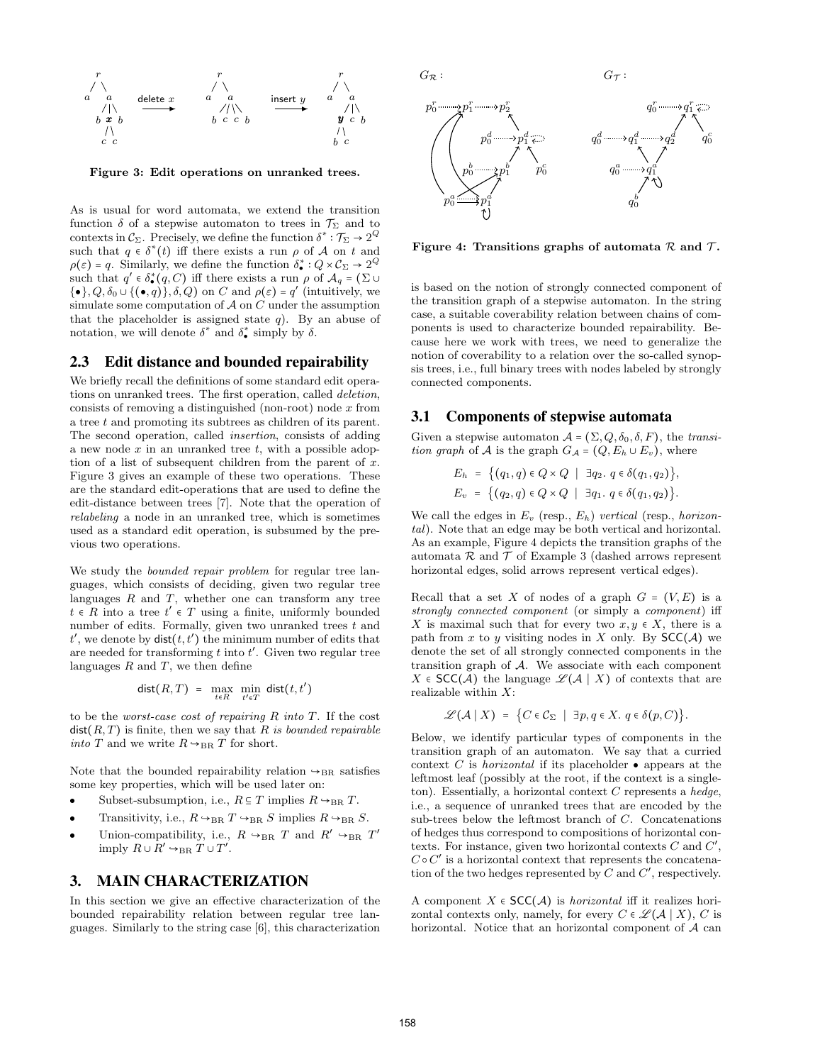

Figure 3: Edit operations on unranked trees.

As is usual for word automata, we extend the transition function  $\delta$  of a stepwise automaton to trees in  $\mathcal{T}_{\Sigma}$  and to contexts in  $\mathcal{C}_{\Sigma}$ . Precisely, we define the function  $\delta^* : \mathcal{T}_{\Sigma} \to 2^Q$ such that  $q \in \delta^*(t)$  iff there exists a run  $\rho$  of A on t and  $\rho(\varepsilon) = q$ . Similarly, we define the function  $\delta_{\bullet}^{*}: Q \times C_{\Sigma} \to 2^Q$ such that  $q' \in \delta_{\bullet}^{*}(q, C)$  iff there exists a run  $\rho$  of  $\mathcal{A}_{q} = (\Sigma \cup$  $\{\bullet\}, Q, \delta_0 \cup \{(\bullet, q)\}, \delta, Q)$  on C and  $\rho(\varepsilon) = q'$  (intuitively, we simulate some computation of  $A$  on  $C$  under the assumption that the placeholder is assigned state  $q$ ). By an abuse of notation, we will denote  $\delta^*$  and  $\delta^*$  simply by  $\delta$ .

#### 2.3 Edit distance and bounded repairability

We briefly recall the definitions of some standard edit operations on unranked trees. The first operation, called deletion, consists of removing a distinguished (non-root) node  $x$  from a tree t and promoting its subtrees as children of its parent. The second operation, called insertion, consists of adding a new node  $x$  in an unranked tree  $t$ , with a possible adoption of a list of subsequent children from the parent of  $x$ . Figure 3 gives an example of these two operations. These are the standard edit-operations that are used to define the edit-distance between trees [7]. Note that the operation of relabeling a node in an unranked tree, which is sometimes used as a standard edit operation, is subsumed by the previous two operations.

We study the *bounded repair problem* for regular tree languages, which consists of deciding, given two regular tree languages  $R$  and  $T$ , whether one can transform any tree  $t \in R$  into a tree  $t' \in T$  using a finite, uniformly bounded number of edits. Formally, given two unranked trees  $t$  and  $t'$ , we denote by  $\mathsf{dist}(t,t')$  the minimum number of edits that are needed for transforming  $t$  into  $t'$ . Given two regular tree languages  $R$  and  $T$ , we then define

$$
\mathsf{dist}(R,T) = \max_{t \in R} \min_{t' \in T} \mathsf{dist}(t,t')
$$

to be the worst-case cost of repairing  $R$  into  $T$ . If the cost  $dist(R, T)$  is finite, then we say that R is bounded repairable into T and we write  $R \rightarrow_{\text{BR}} T$  for short.

Note that the bounded repairability relation  $\rightarrow_{BR}$  satisfies some key properties, which will be used later on:

- $\bullet$ Subset-subsumption, i.e.,  $R \subseteq T$  implies  $R \rightarrow_{BR} T$ .
- $\bullet$ Transitivity, i.e.,  $R \rightarrow_{BR} T \rightarrow_{BR} S$  implies  $R \rightarrow_{BR} S$ .
- $\overline{\phantom{a}}$ Union-compatibility, i.e.,  $R \rightarrow_{BR} T$  and  $R' \rightarrow_{BR} T'$ imply  $R \cup R' \hookrightarrow_{\text{BR}} T \cup T'.$

#### 3. MAIN CHARACTERIZATION

In this section we give an effective characterization of the bounded repairability relation between regular tree languages. Similarly to the string case [6], this characterization



Figure 4: Transitions graphs of automata  $\mathcal R$  and  $\mathcal T$ .

is based on the notion of strongly connected component of the transition graph of a stepwise automaton. In the string case, a suitable coverability relation between chains of components is used to characterize bounded repairability. Because here we work with trees, we need to generalize the notion of coverability to a relation over the so-called synopsis trees, i.e., full binary trees with nodes labeled by strongly connected components.

## 3.1 Components of stepwise automata

Given a stepwise automaton  $A = (\Sigma, Q, \delta_0, \delta, F)$ , the *transi*tion graph of A is the graph  $G_A = (Q, E_h \cup E_v)$ , where

$$
E_h = \{(q_1, q) \in Q \times Q \mid \exists q_2. q \in \delta(q_1, q_2)\},
$$
  

$$
E_v = \{(q_2, q) \in Q \times Q \mid \exists q_1. q \in \delta(q_1, q_2)\}.
$$

We call the edges in  $E_v$  (resp.,  $E_h$ ) vertical (resp., horizontal). Note that an edge may be both vertical and horizontal. As an example, Figure 4 depicts the transition graphs of the automata  $\mathcal R$  and  $\mathcal T$  of Example 3 (dashed arrows represent horizontal edges, solid arrows represent vertical edges).

Recall that a set X of nodes of a graph  $G = (V, E)$  is a strongly connected component (or simply a component) iff X is maximal such that for every two  $x, y \in X$ , there is a path from x to y visiting nodes in X only. By  $SCC(\mathcal{A})$  we denote the set of all strongly connected components in the transition graph of A. We associate with each component X ∈ SCC(A) the language  $\mathscr{L}(A \mid X)$  of contexts that are realizable within X:

$$
\mathscr{L}(\mathcal{A} \mid X) = \{ C \in \mathcal{C}_{\Sigma} \mid \exists p, q \in X. \ q \in \delta(p, C) \}.
$$

Below, we identify particular types of components in the transition graph of an automaton. We say that a curried context C is *horizontal* if its placeholder  $\bullet$  appears at the leftmost leaf (possibly at the root, if the context is a singleton). Essentially, a horizontal context  $C$  represents a hedge, i.e., a sequence of unranked trees that are encoded by the sub-trees below the leftmost branch of C. Concatenations of hedges thus correspond to compositions of horizontal contexts. For instance, given two horizontal contexts  $C$  and  $C'$ ,  $C \circ C'$  is a horizontal context that represents the concatenation of the two hedges represented by  $C$  and  $C'$ , respectively.

A component  $X \in \mathsf{SCC}(\mathcal{A})$  is *horizontal* iff it realizes horizontal contexts only, namely, for every  $C \in \mathcal{L}(\mathcal{A} | X)$ , C is horizontal. Notice that an horizontal component of  $A$  can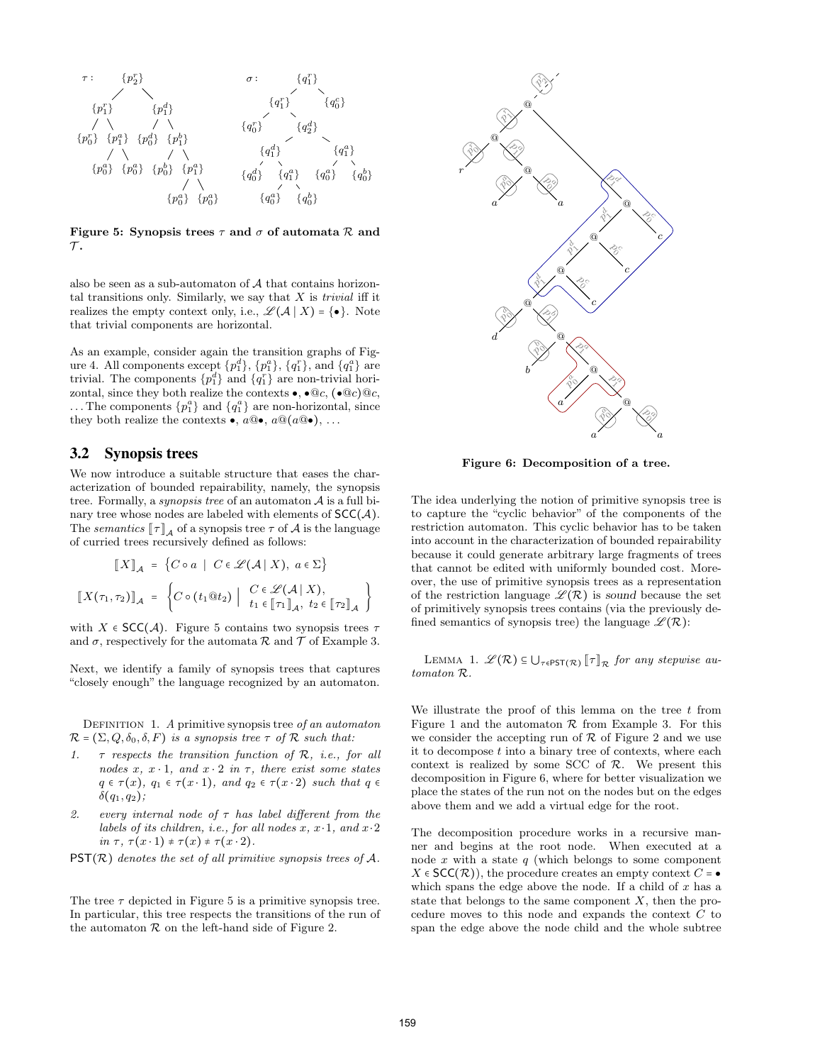

Figure 5: Synopsis trees  $\tau$  and  $\sigma$  of automata  $\mathcal R$  and  $\tau$ .

also be seen as a sub-automaton of A that contains horizontal transitions only. Similarly, we say that  $X$  is *trivial* iff it realizes the empty context only, i.e.,  $\mathscr{L}(A | X) = \{ \bullet \}.$  Note that trivial components are horizontal.

As an example, consider again the transition graphs of Figure 4. All components except  $\{p_1^d\}$ ,  $\{p_1^a\}$ ,  $\{q_1^r\}$ , and  $\{q_1^a\}$  are trivial. The components  $\{p_1^d\}$  and  $\{q_1^r\}$  are non-trivial horizontal, since they both realize the contexts  $\bullet$ ,  $\bullet \mathbb{Q}_c$ ,  $(\bullet \mathbb{Q}_c) \mathbb{Q}_c$ , ... The components  $\{p_1^a\}$  and  $\{q_1^a\}$  are non-horizontal, since they both realize the contexts  $\bullet$ ,  $a@ \bullet$ ,  $a@ (a@ \bullet)$ , ...

## 3.2 Synopsis trees

We now introduce a suitable structure that eases the characterization of bounded repairability, namely, the synopsis tree. Formally, a *synopsis tree* of an automaton  $A$  is a full binary tree whose nodes are labeled with elements of  $SCC(\mathcal{A})$ . The semantics  $\llbracket \tau \rrbracket_{\mathcal{A}}$  of a synopsis tree  $\tau$  of  $\mathcal{A}$  is the language of curried trees recursively defined as follows:

$$
\llbracket X \rrbracket_{\mathcal{A}} = \{ C \circ a \mid C \in \mathcal{L}(\mathcal{A} \mid X), a \in \Sigma \}
$$

$$
\llbracket X(\tau_1, \tau_2) \rrbracket_{\mathcal{A}} = \{ C \circ (t_1 \tildet t_2) \mid \begin{array}{c} C \in \mathcal{L}(\mathcal{A} \mid X), \\ t_1 \in \llbracket \tau_1 \rrbracket_{\mathcal{A}}, t_2 \in \llbracket \tau_2 \rrbracket_{\mathcal{A}} \} \end{array}
$$

with  $X \in \mathsf{SCC}(\mathcal{A})$ . Figure 5 contains two synopsis trees  $\tau$ and  $\sigma$ , respectively for the automata R and T of Example 3.

Next, we identify a family of synopsis trees that captures "closely enough" the language recognized by an automaton.

DEFINITION 1. A primitive synopsis tree of an automaton  $\mathcal{R} = (\Sigma, Q, \delta_0, \delta, F)$  is a synopsis tree  $\tau$  of  $\mathcal{R}$  such that:

- 1.  $\tau$  respects the transition function of  $\mathcal{R}$ , i.e., for all nodes x,  $x \cdot 1$ , and  $x \cdot 2$  in  $\tau$ , there exist some states  $q \in \tau(x)$ ,  $q_1 \in \tau(x \cdot 1)$ , and  $q_2 \in \tau(x \cdot 2)$  such that  $q \in$  $\delta(q_1, q_2);$
- 2. every internal node of  $\tau$  has label different from the labels of its children, i.e., for all nodes  $x, x \cdot 1$ , and  $x \cdot 2$ in  $\tau$ ,  $\tau(x \cdot 1) \neq \tau(x) \neq \tau(x \cdot 2)$ .

 $PST(\mathcal{R})$  denotes the set of all primitive synopsis trees of A.

The tree  $\tau$  depicted in Figure 5 is a primitive synopsis tree. In particular, this tree respects the transitions of the run of the automaton  $R$  on the left-hand side of Figure 2.



Figure 6: Decomposition of a tree.

The idea underlying the notion of primitive synopsis tree is to capture the "cyclic behavior" of the components of the restriction automaton. This cyclic behavior has to be taken into account in the characterization of bounded repairability because it could generate arbitrary large fragments of trees that cannot be edited with uniformly bounded cost. Moreover, the use of primitive synopsis trees as a representation of the restriction language  $\mathscr{L}(R)$  is sound because the set of primitively synopsis trees contains (via the previously defined semantics of synopsis tree) the language  $\mathscr{L}(\mathcal{R})$ :

LEMMA 1.  $\mathscr{L}(\mathcal{R}) \subseteq \bigcup_{\tau \in \text{PST}(\mathcal{R})} [\![\tau]\!]_{\mathcal{R}}$  for any stepwise automaton R.

We illustrate the proof of this lemma on the tree  $t$  from Figure 1 and the automaton  $R$  from Example 3. For this we consider the accepting run of  $R$  of Figure 2 and we use it to decompose  $t$  into a binary tree of contexts, where each context is realized by some SCC of  $R$ . We present this decomposition in Figure 6, where for better visualization we place the states of the run not on the nodes but on the edges above them and we add a virtual edge for the root.

The decomposition procedure works in a recursive manner and begins at the root node. When executed at a node  $x$  with a state  $q$  (which belongs to some component  $X \in \mathsf{SCC}(\mathcal{R})$ , the procedure creates an empty context  $C = \bullet$ which spans the edge above the node. If a child of  $x$  has a state that belongs to the same component  $X$ , then the procedure moves to this node and expands the context C to span the edge above the node child and the whole subtree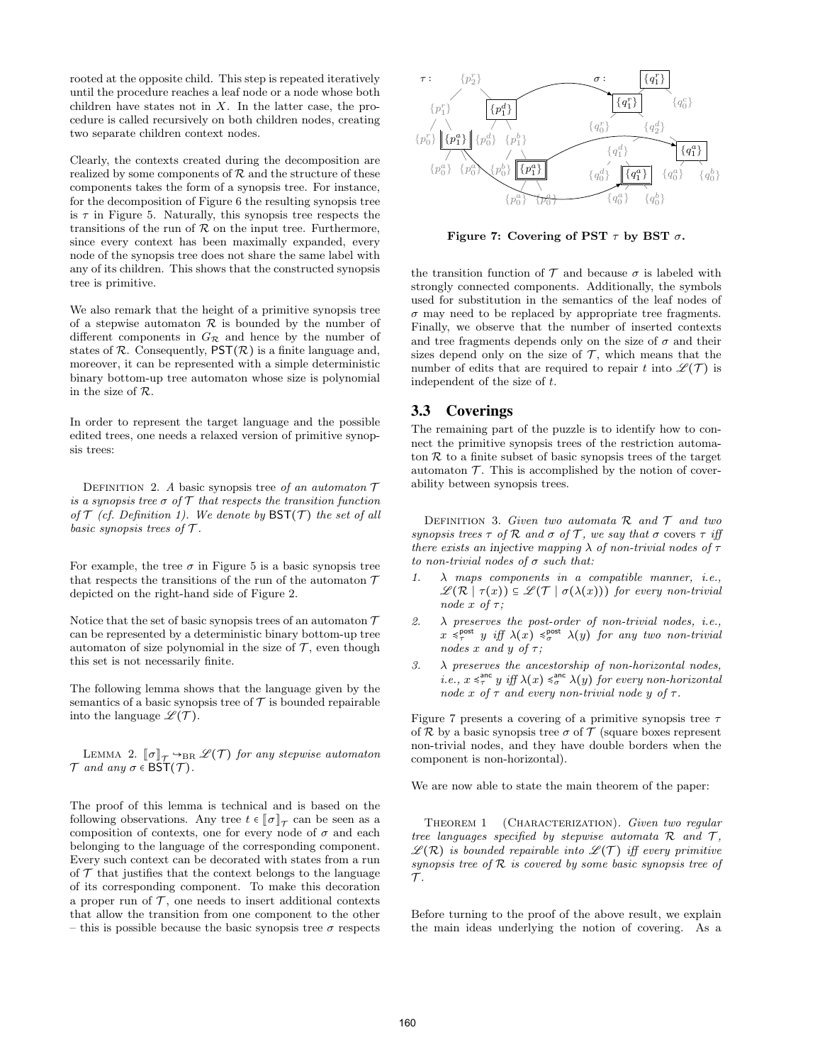rooted at the opposite child. This step is repeated iteratively until the procedure reaches a leaf node or a node whose both children have states not in  $X$ . In the latter case, the procedure is called recursively on both children nodes, creating two separate children context nodes.

Clearly, the contexts created during the decomposition are realized by some components of  $R$  and the structure of these components takes the form of a synopsis tree. For instance, for the decomposition of Figure 6 the resulting synopsis tree is  $\tau$  in Figure 5. Naturally, this synopsis tree respects the transitions of the run of  $R$  on the input tree. Furthermore, since every context has been maximally expanded, every node of the synopsis tree does not share the same label with any of its children. This shows that the constructed synopsis tree is primitive.

We also remark that the height of a primitive synopsis tree of a stepwise automaton  $\mathcal R$  is bounded by the number of different components in  $G_{\mathcal{R}}$  and hence by the number of states of  $\mathcal R$ . Consequently,  $\mathsf{PST}(\mathcal R)$  is a finite language and, moreover, it can be represented with a simple deterministic binary bottom-up tree automaton whose size is polynomial in the size of R.

In order to represent the target language and the possible edited trees, one needs a relaxed version of primitive synopsis trees:

DEFINITION 2. A basic synopsis tree of an automaton  $\mathcal T$ is a synopsis tree  $\sigma$  of  $\mathcal T$  that respects the transition function of  $\mathcal T$  (cf. Definition 1). We denote by  $\mathsf{BST}(\mathcal T)$  the set of all basic synopsis trees of  $\mathcal T$ .

For example, the tree  $\sigma$  in Figure 5 is a basic synopsis tree that respects the transitions of the run of the automaton  $\mathcal T$ depicted on the right-hand side of Figure 2.

Notice that the set of basic synopsis trees of an automaton  $\mathcal T$ can be represented by a deterministic binary bottom-up tree automaton of size polynomial in the size of  $\mathcal T$ , even though this set is not necessarily finite.

The following lemma shows that the language given by the semantics of a basic synopsis tree of  $\mathcal T$  is bounded repairable into the language  $\mathscr{L}(\mathcal{T})$ .

LEMMA 2.  $\llbracket \sigma \rrbracket_{\mathcal{T}} \rightarrow_{\text{BR}} \mathcal{L}(\mathcal{T})$  for any stepwise automaton  $\mathcal T$  and any  $\sigma \in \widetilde{\mathsf{BST}}(\mathcal T)$ .

The proof of this lemma is technical and is based on the following observations. Any tree  $t \in [\![\sigma]\!]_{\mathcal{T}}$  can be seen as a composition of contexts, one for every node of  $\sigma$  and each belonging to the language of the corresponding component. Every such context can be decorated with states from a run of  $\mathcal T$  that justifies that the context belongs to the language of its corresponding component. To make this decoration a proper run of  $\mathcal T$ , one needs to insert additional contexts that allow the transition from one component to the other – this is possible because the basic synopsis tree  $\sigma$  respects



Figure 7: Covering of PST  $\tau$  by BST  $\sigma$ .

the transition function of  $\mathcal T$  and because  $\sigma$  is labeled with strongly connected components. Additionally, the symbols used for substitution in the semantics of the leaf nodes of  $\sigma$  may need to be replaced by appropriate tree fragments. Finally, we observe that the number of inserted contexts and tree fragments depends only on the size of  $\sigma$  and their sizes depend only on the size of  $\mathcal T$ , which means that the number of edits that are required to repair t into  $\mathscr{L}(\mathcal{T})$  is independent of the size of t.

## 3.3 Coverings

The remaining part of the puzzle is to identify how to connect the primitive synopsis trees of the restriction automaton  $R$  to a finite subset of basic synopsis trees of the target automaton  $\mathcal T$ . This is accomplished by the notion of coverability between synopsis trees.

DEFINITION 3. Given two automata  $\mathcal R$  and  $\mathcal T$  and two synopsis trees  $\tau$  of  $\mathcal R$  and  $\sigma$  of  $\mathcal T$ , we say that  $\sigma$  covers  $\tau$  iff there exists an injective mapping  $\lambda$  of non-trivial nodes of  $\tau$ to non-trivial nodes of  $\sigma$  such that:

- 1.  $\lambda$  maps components in a compatible manner, i.e.,  $\mathscr{L}(\mathcal{R} \mid \tau(x)) \subseteq \mathscr{L}(\mathcal{T} \mid \sigma(\lambda(x)))$  for every non-trivial node  $x$  of  $\tau$ ;
- 2.  $\lambda$  preserves the post-order of non-trivial nodes, *i.e.*,  $x \leq_{\tau}^{\text{post}} y$  iff  $\lambda(x) \leq_{\sigma}^{\text{post}} \lambda(y)$  for any two non-trivial nodes x and y of  $\tau$ ;
- 3.  $\lambda$  preserves the ancestorship of non-horizontal nodes, *i.e.*,  $x \leq_{\tau}^{\text{anc}} y$  *iff*  $\lambda(x) \leq_{\sigma}^{\text{anc}} \lambda(y)$  for every non-horizontal node x of  $\tau$  and every non-trivial node y of  $\tau$ .

Figure 7 presents a covering of a primitive synopsis tree  $\tau$ of R by a basic synopsis tree  $\sigma$  of T (square boxes represent non-trivial nodes, and they have double borders when the component is non-horizontal).

We are now able to state the main theorem of the paper:

THEOREM 1 (CHARACTERIZATION). Given two regular tree languages specified by stepwise automata  $\mathcal R$  and  $\mathcal T$ ,  $\mathscr{L}(\mathcal{R})$  is bounded repairable into  $\mathscr{L}(\mathcal{T})$  iff every primitive synopsis tree of  $R$  is covered by some basic synopsis tree of  $\mathcal{T}$ .

Before turning to the proof of the above result, we explain the main ideas underlying the notion of covering. As a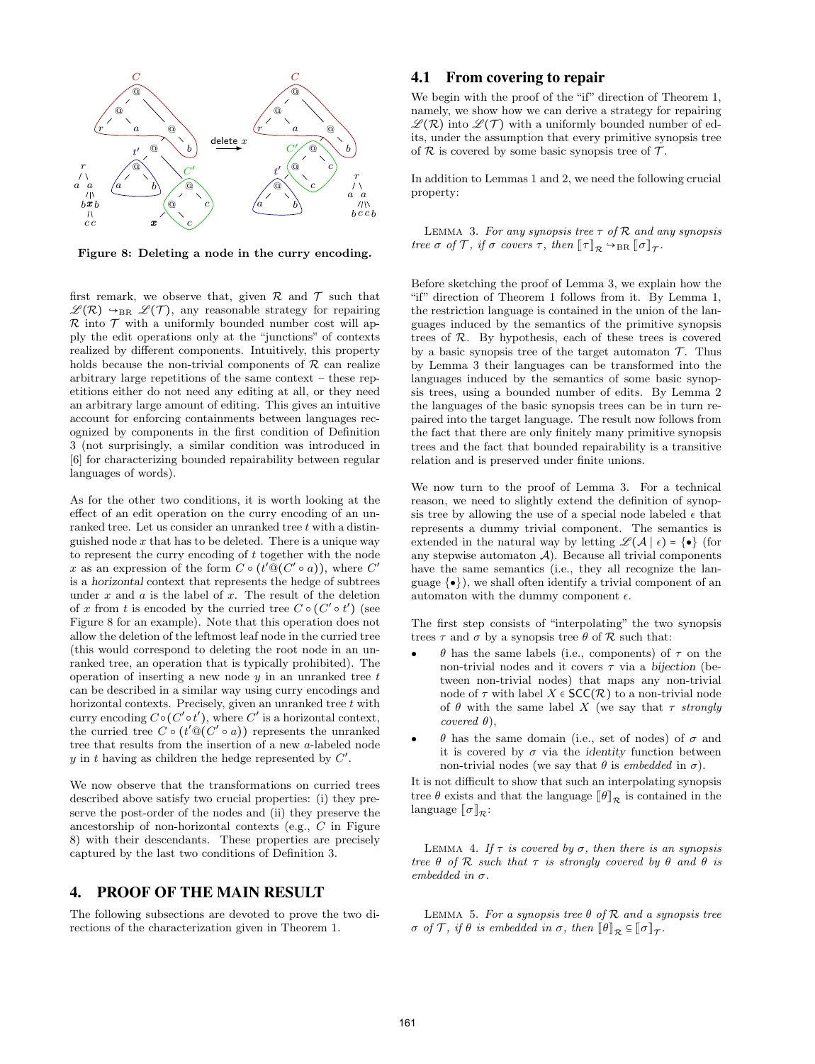

Figure 8: Deleting a node in the curry encoding.

first remark, we observe that, given  $\mathcal R$  and  $\mathcal T$  such that  $\mathscr{L}(\mathcal{R}) \rightarrow_{\text{BR}} \mathscr{L}(\mathcal{T})$ , any reasonable strategy for repairing  $\mathcal R$  into  $\mathcal T$  with a uniformly bounded number cost will apply the edit operations only at the "junctions" of contexts realized by different components. Intuitively, this property holds because the non-trivial components of  $\mathcal R$  can realize arbitrary large repetitions of the same context – these repetitions either do not need any editing at all, or they need an arbitrary large amount of editing. This gives an intuitive account for enforcing containments between languages recognized by components in the first condition of Definition 3 (not surprisingly, a similar condition was introduced in [6] for characterizing bounded repairability between regular languages of words).

As for the other two conditions, it is worth looking at the effect of an edit operation on the curry encoding of an unranked tree. Let us consider an unranked tree  $t$  with a distinguished node  $x$  that has to be deleted. There is a unique way to represent the curry encoding of  $t$  together with the node x as an expression of the form  $C \circ (t' @ (C' \circ a))$ , where  $C'$ is a horizontal context that represents the hedge of subtrees under  $x$  and  $a$  is the label of  $x$ . The result of the deletion of x from t is encoded by the curried tree  $C \circ (C' \circ t')$  (see Figure 8 for an example). Note that this operation does not allow the deletion of the leftmost leaf node in the curried tree (this would correspond to deleting the root node in an unranked tree, an operation that is typically prohibited). The operation of inserting a new node  $y$  in an unranked tree  $t$ can be described in a similar way using curry encodings and horizontal contexts. Precisely, given an unranked tree  $t$  with curry encoding  $C \circ (C' \circ t')$ , where  $C'$  is a horizontal context, the curried tree  $C \circ (t' \mathbb{Q}(C' \circ a))$  represents the unranked tree that results from the insertion of a new a-labeled node y in t having as children the hedge represented by  $C'$ .

We now observe that the transformations on curried trees described above satisfy two crucial properties: (i) they preserve the post-order of the nodes and (ii) they preserve the ancestorship of non-horizontal contexts (e.g., C in Figure 8) with their descendants. These properties are precisely captured by the last two conditions of Definition 3.

# 4. PROOF OF THE MAIN RESULT

The following subsections are devoted to prove the two directions of the characterization given in Theorem 1.

## 4.1 From covering to repair

We begin with the proof of the "if" direction of Theorem 1, namely, we show how we can derive a strategy for repairing  $\mathscr{L}(\mathcal{R})$  into  $\mathscr{L}(\mathcal{T})$  with a uniformly bounded number of edits, under the assumption that every primitive synopsis tree of  $R$  is covered by some basic synopsis tree of  $T$ .

In addition to Lemmas 1 and 2, we need the following crucial property:

LEMMA 3. For any synopsis tree  $\tau$  of  $\mathcal R$  and any synopsis tree  $\sigma$  of  $\mathcal{T}$ , if  $\sigma$  covers  $\tau$ , then  $\llbracket \tau \rrbracket_{\mathcal{R}} \rightarrow_{\text{BR}} \llbracket \sigma \rrbracket_{\mathcal{T}}$ .

Before sketching the proof of Lemma 3, we explain how the "if" direction of Theorem 1 follows from it. By Lemma 1, the restriction language is contained in the union of the languages induced by the semantics of the primitive synopsis trees of R. By hypothesis, each of these trees is covered by a basic synopsis tree of the target automaton  $\mathcal{T}$ . Thus by Lemma 3 their languages can be transformed into the languages induced by the semantics of some basic synopsis trees, using a bounded number of edits. By Lemma 2 the languages of the basic synopsis trees can be in turn repaired into the target language. The result now follows from the fact that there are only finitely many primitive synopsis trees and the fact that bounded repairability is a transitive relation and is preserved under finite unions.

We now turn to the proof of Lemma 3. For a technical reason, we need to slightly extend the definition of synopsis tree by allowing the use of a special node labeled  $\epsilon$  that represents a dummy trivial component. The semantics is extended in the natural way by letting  $\mathscr{L}(\mathcal{A} \mid \epsilon) = \{ \bullet \}$  (for any stepwise automaton  $A$ ). Because all trivial components have the same semantics (i.e., they all recognize the language  $\{\bullet\}$ , we shall often identify a trivial component of an automaton with the dummy component  $\epsilon$ .

The first step consists of "interpolating" the two synopsis trees  $\tau$  and  $\sigma$  by a synopsis tree  $\theta$  of  $\mathcal R$  such that:

- $\bullet$  θ has the same labels (i.e., components) of τ on the non-trivial nodes and it covers  $\tau$  via a bijection (between non-trivial nodes) that maps any non-trivial node of  $\tau$  with label  $X \in \mathsf{SCC}(\mathcal{R})$  to a non-trivial node of  $\theta$  with the same label X (we say that  $\tau$  strongly covered  $\theta$ ).
- $\bullet$  θ has the same domain (i.e., set of nodes) of σ and it is covered by  $\sigma$  via the *identity* function between non-trivial nodes (we say that  $\theta$  is embedded in  $\sigma$ ).

It is not difficult to show that such an interpolating synopsis tree  $\theta$  exists and that the language  $\llbracket \theta \rrbracket_{\mathcal{R}}$  is contained in the language  $\llbracket \sigma \rrbracket_{\mathcal{R}}$ :

LEMMA 4. If  $\tau$  is covered by  $\sigma$ , then there is an synopsis tree  $\theta$  of  $\mathcal R$  such that  $\tau$  is strongly covered by  $\theta$  and  $\theta$  is embedded in  $\sigma$ .

LEMMA 5. For a synopsis tree  $\theta$  of  $\mathcal R$  and a synopsis tree  $\sigma$  of  $\mathcal{T}$ , if  $\theta$  is embedded in  $\sigma$ , then  $\llbracket \theta \rrbracket_{\mathcal{R}} \subseteq \llbracket \sigma \rrbracket_{\mathcal{T}}$ .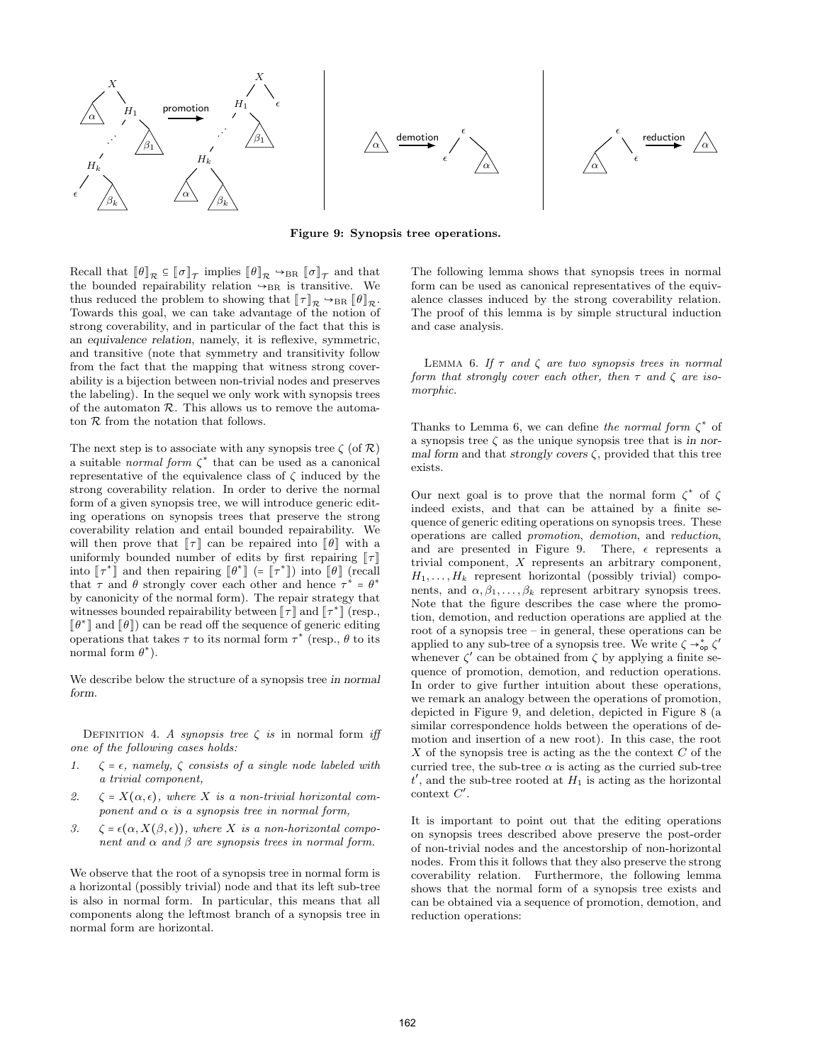





Figure 9: Synopsis tree operations.

Recall that  $\llbracket \theta \rrbracket_{\mathcal{R}} \subseteq \llbracket \sigma \rrbracket_{\mathcal{T}}$  implies  $\llbracket \theta \rrbracket_{\mathcal{R}} \to_{\text{BR}} \llbracket \sigma \rrbracket_{\mathcal{T}}$  and that the bounded repairability relation  $\rightarrow_{BR}$  is transitive. We thus reduced the problem to showing that  $\llbracket \tau \rrbracket_{\mathcal{R}} \rightarrow_{\text{BR}} \llbracket \theta \rrbracket_{\mathcal{R}}$ . Towards this goal, we can take advantage of the notion of strong coverability, and in particular of the fact that this is an equivalence relation, namely, it is reflexive, symmetric, and transitive (note that symmetry and transitivity follow from the fact that the mapping that witness strong coverability is a bijection between non-trivial nodes and preserves the labeling). In the sequel we only work with synopsis trees of the automaton  $R$ . This allows us to remove the automaton  $R$  from the notation that follows.

The next step is to associate with any synopsis tree  $\zeta$  (of  $\mathcal{R}$ ) a suitable *normal form*  $\zeta^*$  that can be used as a canonical representative of the equivalence class of  $\zeta$  induced by the strong coverability relation. In order to derive the normal form of a given synopsis tree, we will introduce generic editing operations on synopsis trees that preserve the strong coverability relation and entail bounded repairability. We will then prove that  $\llbracket \tau \rrbracket$  can be repaired into  $\llbracket \theta \rrbracket$  with a uniformly bounded number of edits by first repairing  $\llbracket \tau \rrbracket$ into  $\llbracket \tau^* \rrbracket$  and then repairing  $\llbracket \theta^* \rrbracket$  (=  $\llbracket \tau^* \rrbracket$ ) into  $\llbracket \theta \rrbracket$  (recall that  $\tau$  and  $\theta$  strongly cover each other and hence  $\tau^* = \theta^*$ by canonicity of the normal form). The repair strategy that witnesses bounded repairability between  $\llbracket \tau \rrbracket$  and  $\llbracket \tau^* \rrbracket$  (resp.,  $[\![\theta^*]\!]$  and  $[\![\theta]\!]$ ) can be read off the sequence of generic editing operations that takes  $\tau$  to its normal form  $\tau^*$  (resp.,  $\theta$  to its normal form  $\theta^*$ ).

We describe below the structure of a synopsis tree in normal form.

DEFINITION 4. A synopsis tree  $\zeta$  is in normal form iff one of the following cases holds:

- 1.  $\zeta = \epsilon$ , namely,  $\zeta$  consists of a single node labeled with a trivial component,
- 2.  $\zeta = X(\alpha, \epsilon)$ , where X is a non-trivial horizontal component and  $\alpha$  is a synopsis tree in normal form,
- 3.  $\zeta = \epsilon(\alpha, X(\beta, \epsilon))$ , where X is a non-horizontal component and  $\alpha$  and  $\beta$  are synopsis trees in normal form.

We observe that the root of a synopsis tree in normal form is a horizontal (possibly trivial) node and that its left sub-tree is also in normal form. In particular, this means that all components along the leftmost branch of a synopsis tree in normal form are horizontal.

The following lemma shows that synopsis trees in normal form can be used as canonical representatives of the equivalence classes induced by the strong coverability relation. The proof of this lemma is by simple structural induction and case analysis.

LEMMA 6. If  $\tau$  and  $\zeta$  are two synopsis trees in normal form that strongly cover each other, then  $\tau$  and  $\zeta$  are isomorphic.

Thanks to Lemma 6, we can define the normal form  $\zeta^*$  of a synopsis tree  $\zeta$  as the unique synopsis tree that is in normal form and that strongly covers  $\zeta$ , provided that this tree exists.

Our next goal is to prove that the normal form  $\zeta^*$  of  $\zeta$ indeed exists, and that can be attained by a finite sequence of generic editing operations on synopsis trees. These operations are called promotion, demotion, and reduction, and are presented in Figure 9. There,  $\epsilon$  represents a trivial component, X represents an arbitrary component,  $H_1, \ldots, H_k$  represent horizontal (possibly trivial) components, and  $\alpha, \beta_1, \ldots, \beta_k$  represent arbitrary synopsis trees. Note that the figure describes the case where the promotion, demotion, and reduction operations are applied at the root of a synopsis tree – in general, these operations can be applied to any sub-tree of a synopsis tree. We write  $\zeta \rightarrow_{\text{op}}^* \zeta'$ whenever  $\zeta'$  can be obtained from  $\zeta$  by applying a finite sequence of promotion, demotion, and reduction operations. In order to give further intuition about these operations, we remark an analogy between the operations of promotion, depicted in Figure 9, and deletion, depicted in Figure 8 (a similar correspondence holds between the operations of demotion and insertion of a new root). In this case, the root  $X$  of the synopsis tree is acting as the the context  $C$  of the curried tree, the sub-tree  $\alpha$  is acting as the curried sub-tree  $t'$ , and the sub-tree rooted at  $H_1$  is acting as the horizontal  $\text{context } C'.$ 

It is important to point out that the editing operations on synopsis trees described above preserve the post-order of non-trivial nodes and the ancestorship of non-horizontal nodes. From this it follows that they also preserve the strong coverability relation. Furthermore, the following lemma shows that the normal form of a synopsis tree exists and can be obtained via a sequence of promotion, demotion, and reduction operations: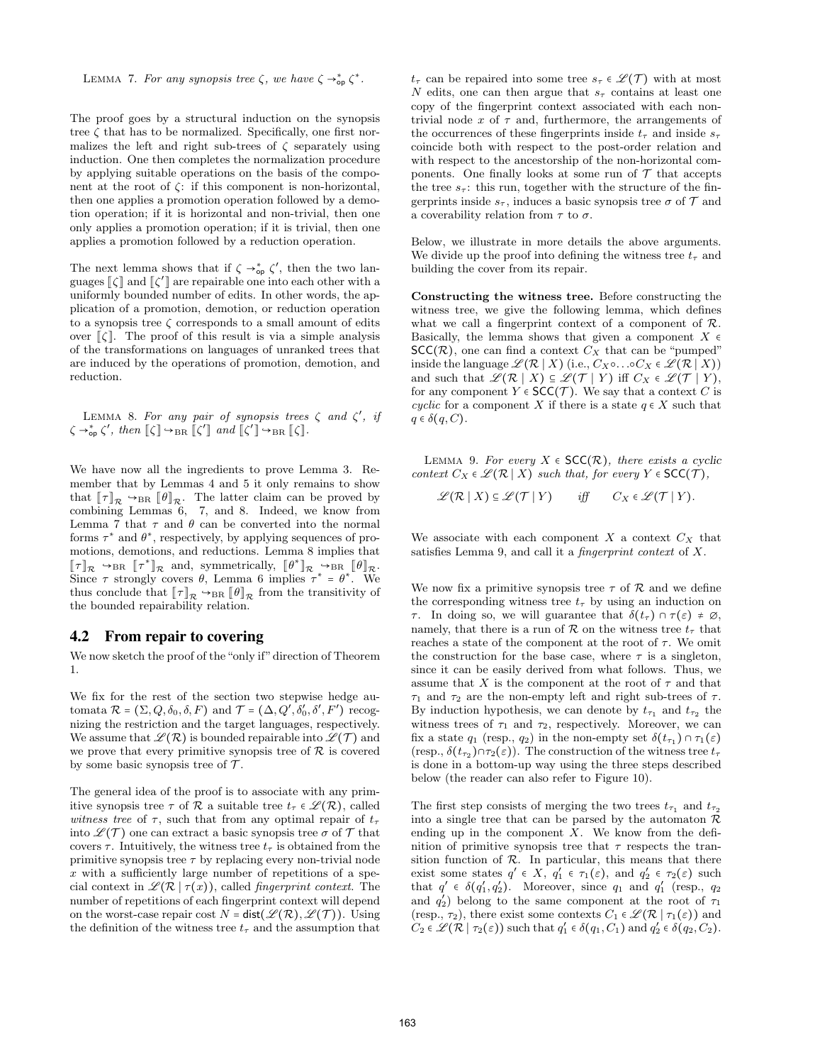LEMMA 7. For any synopsis tree  $\zeta$ , we have  $\zeta \rightarrow_{\text{op}}^* \zeta^*$ .

The proof goes by a structural induction on the synopsis tree  $\zeta$  that has to be normalized. Specifically, one first normalizes the left and right sub-trees of  $\zeta$  separately using induction. One then completes the normalization procedure by applying suitable operations on the basis of the component at the root of  $\zeta$ : if this component is non-horizontal, then one applies a promotion operation followed by a demotion operation; if it is horizontal and non-trivial, then one only applies a promotion operation; if it is trivial, then one applies a promotion followed by a reduction operation.

The next lemma shows that if  $\zeta \rightarrow_{\text{op}}^* \zeta'$ , then the two languages  $\llbracket \zeta \rrbracket$  and  $\llbracket \zeta' \rrbracket$  are repairable one into each other with a uniformly bounded number of edits. In other words, the application of a promotion, demotion, or reduction operation to a synopsis tree  $\zeta$  corresponds to a small amount of edits over  $\lceil \zeta \rceil$ . The proof of this result is via a simple analysis of the transformations on languages of unranked trees that are induced by the operations of promotion, demotion, and reduction.

LEMMA 8. For any pair of synopsis trees  $\zeta$  and  $\zeta'$ , if  $\zeta \rightarrow_{\text{op}}^* \zeta'$ , then  $\llbracket \zeta \rrbracket \rightarrow_{\text{BR}} \llbracket \zeta' \rrbracket$  and  $\llbracket \zeta' \rrbracket \rightarrow_{\text{BR}} \llbracket \zeta \rrbracket$ .

We have now all the ingredients to prove Lemma 3. Remember that by Lemmas 4 and 5 it only remains to show that  $[\![\tau]\!]_{\mathcal{R}} \hookrightarrow_{\text{BR}} [\![\theta]\!]_{\mathcal{R}}$ . The latter claim can be proved by combining Lemmas 6, 7, and 8. Indeed, we know from Lemma 7 that  $\tau$  and  $\theta$  can be converted into the normal forms  $\tau^*$  and  $\theta^*$ , respectively, by applying sequences of promotions, demotions, and reductions. Lemma 8 implies that  $[\![\tau]\!]_{\mathcal{R}} \hookrightarrow_{\text{BR}} [\![\tau^*]\!]_{\mathcal{R}}$  and, symmetrically,  $[\![\theta^*]\!]_{\mathcal{R}} \hookrightarrow_{\text{BR}} [\![\theta]\!]_{\mathcal{R}}$ .<br>Since  $\tau$  strongly covers  $\theta$ , Lemma 6 implies  $\tau^* = \theta^*$ . We thus conclude that  $[\![\tau]\!]_{\mathcal{R}} \hookrightarrow_{\text{BR}} [\![\theta]\!]_{\mathcal{R}}$  from the transitivity of the bounded repairability relation.

#### 4.2 From repair to covering

We now sketch the proof of the "only if" direction of Theorem 1.

We fix for the rest of the section two stepwise hedge automata  $\mathcal{R} = (\Sigma, Q, \delta_0, \delta, F)$  and  $\mathcal{T} = (\Delta, Q', \delta'_0, \delta', F')$  recognizing the restriction and the target languages, respectively. We assume that  $\mathscr{L}(\mathcal{R})$  is bounded repairable into  $\mathscr{L}(\mathcal{T})$  and we prove that every primitive synopsis tree of  $\mathcal R$  is covered by some basic synopsis tree of  $\mathcal{T}$ .

The general idea of the proof is to associate with any primitive synopsis tree  $\tau$  of  $\mathcal R$  a suitable tree  $t_\tau \in \mathscr L(\mathcal R)$ , called witness tree of  $\tau$ , such that from any optimal repair of  $t_{\tau}$ into  $\mathscr{L}(\mathcal{T})$  one can extract a basic synopsis tree  $\sigma$  of  $\mathcal{T}$  that covers  $\tau$ . Intuitively, the witness tree  $t_{\tau}$  is obtained from the primitive synopsis tree  $\tau$  by replacing every non-trivial node  $x$  with a sufficiently large number of repetitions of a special context in  $\mathscr{L}(\mathcal{R} \mid \tau(x))$ , called *fingerprint context*. The number of repetitions of each fingerprint context will depend on the worst-case repair cost  $N = \text{dist}(\mathscr{L}(\mathcal{R}), \mathscr{L}(\mathcal{T}))$ . Using the definition of the witness tree  $t<sub>\tau</sub>$  and the assumption that  $t_{\tau}$  can be repaired into some tree  $s_{\tau} \in \mathscr{L}(\mathcal{T})$  with at most N edits, one can then argue that  $s<sub>\tau</sub>$  contains at least one copy of the fingerprint context associated with each nontrivial node  $x$  of  $\tau$  and, furthermore, the arrangements of the occurrences of these fingerprints inside  $t_{\tau}$  and inside  $s_{\tau}$ coincide both with respect to the post-order relation and with respect to the ancestorship of the non-horizontal components. One finally looks at some run of  $\mathcal T$  that accepts the tree  $s_{\tau}$ : this run, together with the structure of the fingerprints inside  $s_{\tau}$ , induces a basic synopsis tree  $\sigma$  of  $\mathcal T$  and a coverability relation from  $\tau$  to  $\sigma$ .

Below, we illustrate in more details the above arguments. We divide up the proof into defining the witness tree  $t<sub>\tau</sub>$  and building the cover from its repair.

Constructing the witness tree. Before constructing the witness tree, we give the following lemma, which defines what we call a fingerprint context of a component of  $\mathcal{R}$ . Basically, the lemma shows that given a component  $X \in$  $SCC(\mathcal{R})$ , one can find a context  $C_X$  that can be "pumped" inside the language  $\mathscr{L}(\mathcal{R} \mid X)$  (i.e.,  $C_X \circ \ldots \circ C_X \in \mathscr{L}(\mathcal{R} \mid X)$ ) and such that  $\mathscr{L}(\mathcal{R} \mid X) \subseteq \mathscr{L}(\mathcal{T} \mid Y)$  iff  $C_X \in \mathscr{L}(\mathcal{T} \mid Y)$ , for any component  $Y \in \mathsf{SCC}(\mathcal{T})$ . We say that a context C is cyclic for a component X if there is a state  $q \in X$  such that  $q \in \delta(q, C)$ .

LEMMA 9. For every  $X \in SCC(\mathcal{R})$ , there exists a cyclic context  $C_X \in \mathcal{L}(\mathcal{R} \mid X)$  such that, for every  $Y \in \mathsf{SCC}(\mathcal{T})$ ,

 $\mathscr{L}(\mathcal{R} \mid X) \subseteq \mathscr{L}(\mathcal{T} \mid Y)$  iff  $C_X \in \mathscr{L}(\mathcal{T} \mid Y)$ .

We associate with each component  $X$  a context  $C_X$  that satisfies Lemma 9, and call it a fingerprint context of X.

We now fix a primitive synopsis tree  $\tau$  of  $\mathcal R$  and we define the corresponding witness tree  $t_{\tau}$  by using an induction on  $τ.$  In doing so, we will guarantee that  $\delta(t_τ) \cap τ(ε) ≠ ∅$ , namely, that there is a run of  $R$  on the witness tree  $t<sub>\tau</sub>$  that reaches a state of the component at the root of  $\tau$ . We omit the construction for the base case, where  $\tau$  is a singleton, since it can be easily derived from what follows. Thus, we assume that X is the component at the root of  $\tau$  and that  $\tau_1$  and  $\tau_2$  are the non-empty left and right sub-trees of  $\tau$ . By induction hypothesis, we can denote by  $t_{\tau_1}$  and  $t_{\tau_2}$  the witness trees of  $\tau_1$  and  $\tau_2$ , respectively. Moreover, we can fix a state  $q_1$  (resp.,  $q_2$ ) in the non-empty set  $\delta(t_{\tau_1}) \cap \tau_1(\varepsilon)$ (resp.,  $\delta(t_{\tau_2}) \cap \tau_2(\varepsilon)$ ). The construction of the witness tree  $t_{\tau}$ is done in a bottom-up way using the three steps described below (the reader can also refer to Figure 10).

The first step consists of merging the two trees  $t_{\tau_1}$  and  $t_{\tau_2}$ into a single tree that can be parsed by the automaton  $\mathcal R$ ending up in the component  $X$ . We know from the definition of primitive synopsis tree that  $\tau$  respects the transition function of  $R$ . In particular, this means that there exist some states  $q' \in X$ ,  $q'_1 \in \tau_1(\varepsilon)$ , and  $q'_2 \in \tau_2(\varepsilon)$  such that  $q' \in \delta(q'_1, q'_2)$ . Moreover, since  $q_1$  and  $q'_1$  (resp.,  $q_2$ ) and  $q'_2$ ) belong to the same component at the root of  $\tau_1$ (resp.,  $\tau_2$ ), there exist some contexts  $C_1 \in \mathcal{L}(\mathcal{R} \mid \tau_1(\varepsilon))$  and  $C_2 \in \mathscr{L}(\mathcal{R} \mid \tau_2(\varepsilon))$  such that  $q'_1 \in \delta(q_1, C_1)$  and  $q'_2 \in \delta(q_2, C_2)$ .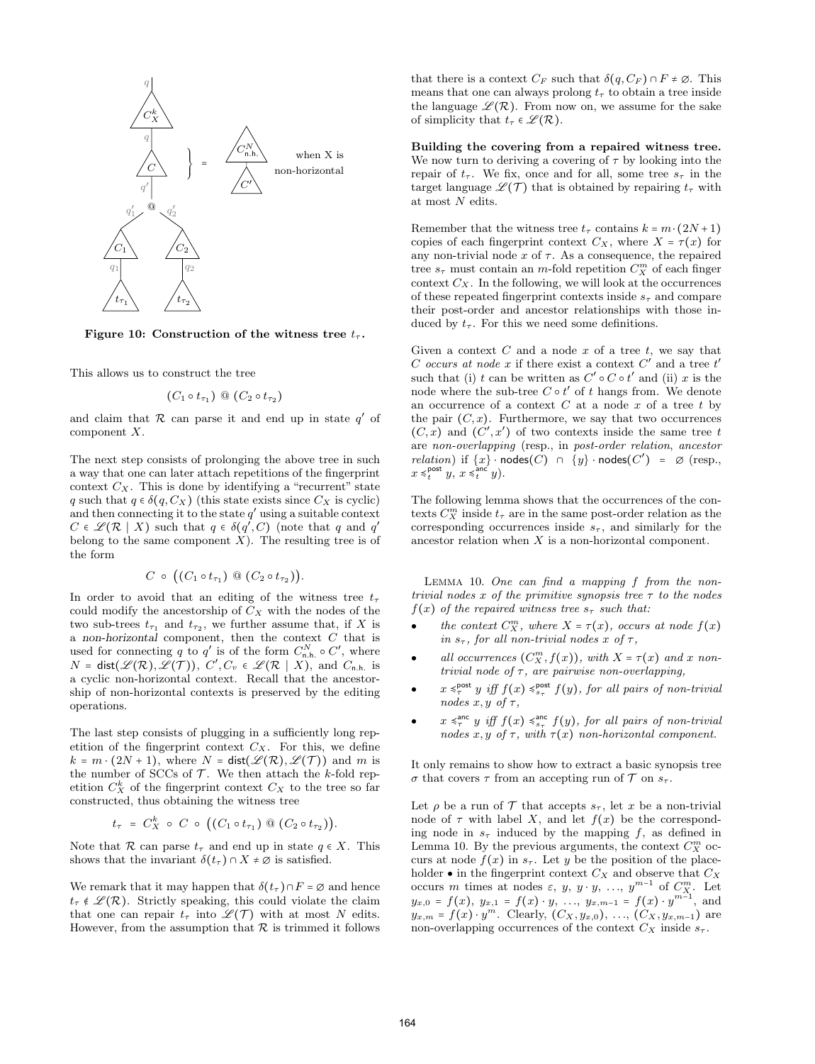

Figure 10: Construction of the witness tree  $t_{\tau}$ .

This allows us to construct the tree

$$
(C_1 \circ t_{\tau_1}) \mathrel{\circledcirc} (C_2 \circ t_{\tau_2})
$$

and claim that  $R$  can parse it and end up in state  $q'$  of component X.

The next step consists of prolonging the above tree in such a way that one can later attach repetitions of the fingerprint context  $C_X$ . This is done by identifying a "recurrent" state q such that  $q \in \delta(q, C_X)$  (this state exists since  $C_X$  is cyclic) and then connecting it to the state  $q'$  using a suitable context  $C \in \mathcal{L}(\mathcal{R} \mid X)$  such that  $q \in \delta(q', C)$  (note that q and q' belong to the same component  $X$ ). The resulting tree is of the form

$$
C \circ ((C_1 \circ t_{\tau_1}) \otimes (C_2 \circ t_{\tau_2})).
$$

In order to avoid that an editing of the witness tree  $t_{\tau}$ could modify the ancestorship of  $C_X$  with the nodes of the two sub-trees  $t_{\tau_1}$  and  $t_{\tau_2}$ , we further assume that, if X is a non-horizontal component, then the context  $C$  that is used for connecting q to q' is of the form  $C_{n,h}^N \circ C'$ , where  $N = \textsf{dist}(\mathscr{L}(\mathcal{R}), \mathscr{L}(\mathcal{T})),\ C', C_v \in \mathscr{L}(\mathcal{R} \mid X),\ \text{and}\ C_{\mathsf{n.h.}}\ \text{is}$ a cyclic non-horizontal context. Recall that the ancestorship of non-horizontal contexts is preserved by the editing operations.

The last step consists of plugging in a sufficiently long repetition of the fingerprint context  $C_X$ . For this, we define  $k = m \cdot (2N + 1)$ , where  $N = \text{dist}(\mathscr{L}(\mathcal{R}), \mathscr{L}(\mathcal{T}))$  and m is the number of SCCs of  $\mathcal T$ . We then attach the k-fold repetition  $C_X^k$  of the fingerprint context  $C_X$  to the tree so far constructed, thus obtaining the witness tree

$$
t_{\tau} = C_X^k \circ C \circ ((C_1 \circ t_{\tau_1}) \otimes (C_2 \circ t_{\tau_2})).
$$

Note that R can parse  $t_{\tau}$  and end up in state  $q \in X$ . This shows that the invariant  $\delta(t_\tau) \cap X \neq \emptyset$  is satisfied.

We remark that it may happen that  $\delta(t_\tau) \cap F = \emptyset$  and hence  $t_{\tau} \notin \mathscr{L}(\mathcal{R})$ . Strictly speaking, this could violate the claim that one can repair  $t_{\tau}$  into  $\mathscr{L}(\mathcal{T})$  with at most N edits. However, from the assumption that  $R$  is trimmed it follows that there is a context  $C_F$  such that  $\delta(q, C_F) \cap F \neq \emptyset$ . This means that one can always prolong  $t<sub>\tau</sub>$  to obtain a tree inside the language  $\mathscr{L}(\mathcal{R})$ . From now on, we assume for the sake of simplicity that  $t_{\tau} \in \mathscr{L}(\mathcal{R})$ .

Building the covering from a repaired witness tree. We now turn to deriving a covering of  $\tau$  by looking into the repair of  $t_{\tau}$ . We fix, once and for all, some tree  $s_{\tau}$  in the target language  $\mathscr{L}(\mathcal{T})$  that is obtained by repairing  $t_{\tau}$  with at most  $N$  edits.

Remember that the witness tree  $t_\tau$  contains  $k = m \cdot (2N + 1)$ copies of each fingerprint context  $C_X$ , where  $X = \tau(x)$  for any non-trivial node  $x$  of  $\tau$ . As a consequence, the repaired tree  $s_{\tau}$  must contain an *m*-fold repetition  $C_X^m$  of each finger context  $C_X$ . In the following, we will look at the occurrences of these repeated fingerprint contexts inside  $s<sub>\tau</sub>$  and compare their post-order and ancestor relationships with those induced by  $t_{\tau}$ . For this we need some definitions.

Given a context  $C$  and a node  $x$  of a tree  $t$ , we say that C occurs at node x if there exist a context  $C'$  and a tree  $t'$ such that (i) t can be written as  $C' \circ C \circ t'$  and (ii) x is the node where the sub-tree  $C \circ t'$  of t hangs from. We denote an occurrence of a context  $C$  at a node  $x$  of a tree  $t$  by the pair  $(C, x)$ . Furthermore, we say that two occurrences  $(C, x)$  and  $(C', x')$  of two contexts inside the same tree t are non-overlapping (resp., in post-order relation, ancestor  $relation)$  if  $\{x\}$  · nodes $(C) \cap \{y\}$  · nodes $(C') = \emptyset$  (resp.,  $x \leq_t^{\text{post}} y, x \leq_t^{\text{anc}} y.$ 

The following lemma shows that the occurrences of the contexts  $C_X^m$  inside  $t_\tau$  are in the same post-order relation as the corresponding occurrences inside  $s_{\tau}$ , and similarly for the ancestor relation when X is a non-horizontal component.

Lemma 10. One can find a mapping f from the nontrivial nodes x of the primitive synopsis tree  $\tau$  to the nodes  $f(x)$  of the repaired witness tree  $s_{\tau}$  such that:

- $\bullet$ the context  $C_X^m$ , where  $X = \tau(x)$ , occurs at node  $f(x)$ in  $s_{\tau}$ , for all non-trivial nodes x of  $\tau$ ,
- $\bullet$ all occurrences  $(C_X^m, f(x))$ , with  $X = \tau(x)$  and x nontrivial node of  $\tau$ , are pairwise non-overlapping,
- $\bullet$  $x \leq_{\tau}^{\text{post}} y$  iff  $f(x) \leq_{s_{\tau}}^{\text{post}} f(y)$ , for all pairs of non-trivial nodes  $x, y \text{ of } \tau$ ,
- $\bullet$  $x \leq_{\tau}^{\text{anc}} y$  iff  $f(x) \leq_{s_{\tau}}^{\text{anc}} f(y)$ , for all pairs of non-trivial nodes x, y of  $\tau$ , with  $\tau(x)$  non-horizontal component.

It only remains to show how to extract a basic synopsis tree  $\sigma$  that covers  $\tau$  from an accepting run of  $\mathcal T$  on  $s_{\tau}$ .

Let  $\rho$  be a run of  $\mathcal T$  that accepts  $s_{\tau}$ , let x be a non-trivial node of  $\tau$  with label X, and let  $f(x)$  be the corresponding node in  $s<sub>\tau</sub>$  induced by the mapping f, as defined in Lemma 10. By the previous arguments, the context  $C_X^m$  occurs at node  $f(x)$  in  $s_{\tau}$ . Let y be the position of the placeholder  $\bullet$  in the fingerprint context  $C_X$  and observe that  $C_X$ occurs m times at nodes  $\varepsilon, y, y \cdot y, \ldots, y^{m-1}$  of  $C_{X}^{m}$ . Let  $y_{x,0} = f(x), y_{x,1} = f(x) \cdot y, \ldots, y_{x,m-1} = f(x) \cdot y^{m-1},$  and  $y_{x,m} = f(x) \cdot y^m$ . Clearly,  $(C_X, y_{x,0}), \ldots, (C_X, y_{x,m-1})$  are non-overlapping occurrences of the context  $C_X$  inside  $s_\tau$ .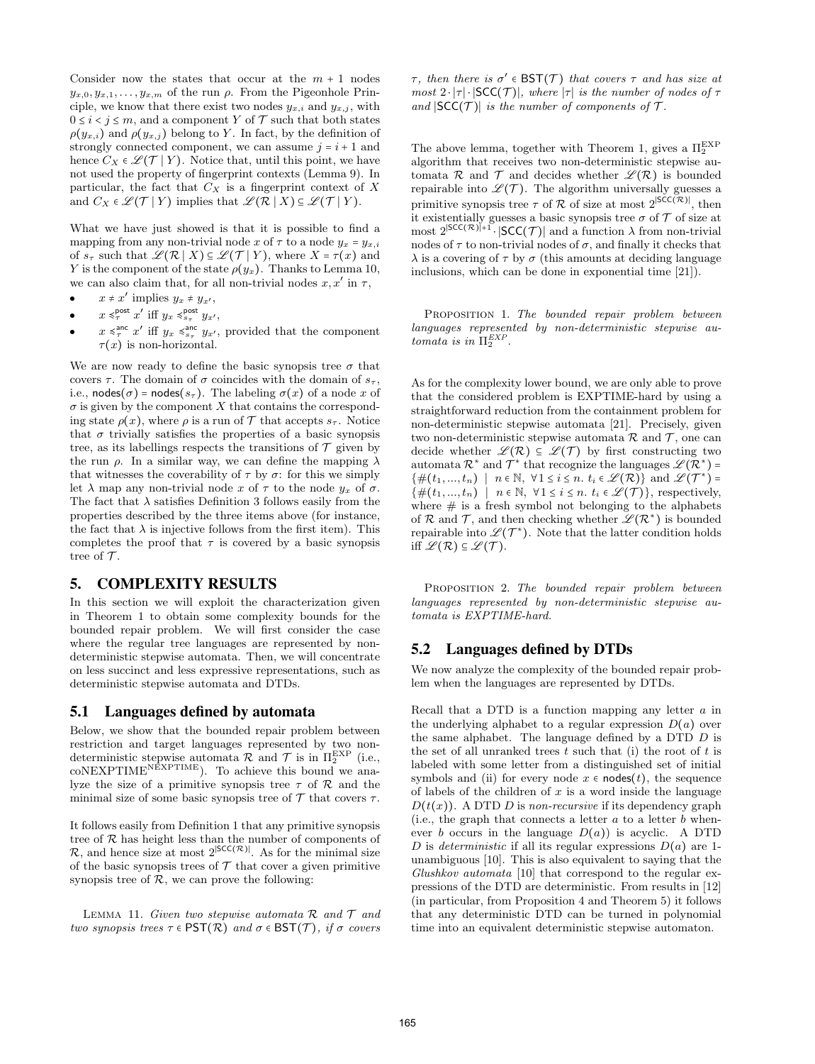Consider now the states that occur at the  $m + 1$  nodes  $y_{x,0}, y_{x,1}, \ldots, y_{x,m}$  of the run  $\rho$ . From the Pigeonhole Principle, we know that there exist two nodes  $y_{x,i}$  and  $y_{x,i}$ , with  $0 \leq i \leq j \leq m$ , and a component Y of T such that both states  $\rho(y_{x,i})$  and  $\rho(y_{x,j})$  belong to Y. In fact, by the definition of strongly connected component, we can assume  $j = i + 1$  and hence  $C_X \in \mathcal{L}(\mathcal{T} | Y)$ . Notice that, until this point, we have not used the property of fingerprint contexts (Lemma 9). In particular, the fact that  $C_X$  is a fingerprint context of X and  $C_X \in \mathcal{L}(\mathcal{T} | Y)$  implies that  $\mathcal{L}(\mathcal{R} | X) \subseteq \mathcal{L}(\mathcal{T} | Y)$ .

What we have just showed is that it is possible to find a mapping from any non-trivial node x of  $\tau$  to a node  $y_x = y_{x,i}$ of  $s_{\tau}$  such that  $\mathscr{L}(\mathcal{R} \mid X) \subseteq \mathscr{L}(\mathcal{T} \mid Y)$ , where  $X = \tau(x)$  and Y is the component of the state  $\rho(y_x)$ . Thanks to Lemma 10, we can also claim that, for all non-trivial nodes  $x, x'$  in  $\tau$ ,

- $\bullet$  $x \neq x'$  implies  $y_x \neq y_{x'}$ ,
- $\bullet$  $x \leq_T^{\text{post}} x'$  iff  $y_x \leq_{s_{\tau}}^{\text{post}} y_{x'}$ ,
- $\bullet$  $x \leq_{\tau}^{\text{anc}} x'$  iff  $y_x \leq_{s_{\tau}}^{\text{anc}} y_{x'}$ , provided that the component  $\tau(x)$  is non-horizontal.

We are now ready to define the basic synopsis tree  $\sigma$  that covers  $\tau$ . The domain of  $\sigma$  coincides with the domain of  $s_{\tau}$ , i.e., nodes( $\sigma$ ) = nodes( $s_{\tau}$ ). The labeling  $\sigma(x)$  of a node x of  $\sigma$  is given by the component X that contains the corresponding state  $\rho(x)$ , where  $\rho$  is a run of  $\mathcal T$  that accepts  $s_{\tau}$ . Notice that  $\sigma$  trivially satisfies the properties of a basic synopsis tree, as its labellings respects the transitions of  $\mathcal T$  given by the run  $\rho$ . In a similar way, we can define the mapping  $\lambda$ that witnesses the coverability of  $\tau$  by  $\sigma$ : for this we simply let  $\lambda$  map any non-trivial node x of  $\tau$  to the node  $y_x$  of  $\sigma$ . The fact that  $\lambda$  satisfies Definition 3 follows easily from the properties described by the three items above (for instance, the fact that  $\lambda$  is injective follows from the first item). This completes the proof that  $\tau$  is covered by a basic synopsis tree of  $\mathcal T$ .

## 5. COMPLEXITY RESULTS

In this section we will exploit the characterization given in Theorem 1 to obtain some complexity bounds for the bounded repair problem. We will first consider the case where the regular tree languages are represented by nondeterministic stepwise automata. Then, we will concentrate on less succinct and less expressive representations, such as deterministic stepwise automata and DTDs.

#### 5.1 Languages defined by automata

Below, we show that the bounded repair problem between restriction and target languages represented by two nondeterministic stepwise automata  $\mathcal{R}$  and  $\mathcal{T}$  is in  $\Pi_2^{\text{EXP}}$  (i.e.,  $\text{coNEXPTIME}^{\text{NEXPTIME}}$ ). To achieve this bound we analyze the size of a primitive synopsis tree  $\tau$  of  $\mathcal R$  and the minimal size of some basic synopsis tree of  $\mathcal T$  that covers  $\tau$ .

It follows easily from Definition 1 that any primitive synopsis tree of  $R$  has height less than the number of components of  $\mathcal{R}$ , and hence size at most 2<sup>|SCC( $\mathcal{R}$ )</sup>. As for the minimal size of the basic synopsis trees of  $T$  that cover a given primitive synopsis tree of  $R$ , we can prove the following:

LEMMA 11. Given two stepwise automata  $\mathcal R$  and  $\mathcal T$  and two synopsis trees  $\tau \in \text{PST}(\mathcal{R})$  and  $\sigma \in \text{BST}(\mathcal{T})$ , if  $\sigma$  covers

 $\tau$ , then there is  $\sigma' \in \mathsf{BST}(\mathcal{T})$  that covers  $\tau$  and has size at most  $2 \cdot |\tau| \cdot |SCC(\mathcal{T})|$ , where  $|\tau|$  is the number of nodes of  $\tau$ and  $|SCC(\mathcal{T})|$  is the number of components of  $\mathcal{T}$ .

The above lemma, together with Theorem 1, gives a  $\Pi_2^{\text{EXP}}$ algorithm that receives two non-deterministic stepwise automata  $\mathcal R$  and  $\mathcal T$  and decides whether  $\mathscr L(\mathcal R)$  is bounded repairable into  $\mathscr{L}(\mathcal{T})$ . The algorithm universally guesses a primitive synopsis tree  $\tau$  of R of size at most 2<sup>|SCC(R)|</sup>, then it existentially guesses a basic synopsis tree  $\sigma$  of  $\mathcal T$  of size at most  $2^{|SCC(\mathcal{R})|+1} \cdot |SCC(\mathcal{T})|$  and a function  $\lambda$  from non-trivial nodes of  $\tau$  to non-trivial nodes of  $\sigma$ , and finally it checks that  $\lambda$  is a covering of  $\tau$  by  $\sigma$  (this amounts at deciding language inclusions, which can be done in exponential time [21]).

PROPOSITION 1. The bounded repair problem between languages represented by non-deterministic stepwise automata is in  $\Pi_2^{EXP}$ .

As for the complexity lower bound, we are only able to prove that the considered problem is EXPTIME-hard by using a straightforward reduction from the containment problem for non-deterministic stepwise automata [21]. Precisely, given two non-deterministic stepwise automata  $\mathcal R$  and  $\mathcal T$ , one can decide whether  $\mathscr{L}(\mathcal{R}) \subseteq \mathscr{L}(\mathcal{T})$  by first constructing two  $\mathrm{automata}\; \mathcal{R}^\ast \;\mathrm{and}\; \mathcal{T}^\ast \;\mathrm{that}\; \mathrm{recognize}\; \mathrm{the}\; \mathrm{languages}\; \mathscr{L}(\mathcal{R}^\ast)\; \texttt{=}\;$  $\{\#(t_1, ..., t_n) \mid n \in \mathbb{N}, \forall 1 \leq i \leq n. t_i \in \mathcal{L}(\mathcal{R})\}$  and  $\mathcal{L}(\mathcal{T}^*) =$  $\{\#(t_1, ..., t_n) \mid n \in \mathbb{N}, \forall 1 \leq i \leq n. t_i \in \mathscr{L}(\mathcal{T})\},$  respectively, where  $\#$  is a fresh symbol not belonging to the alphabets of R and T, and then checking whether  $\mathscr{L}(\mathcal{R}^*)$  is bounded repairable into  $\mathscr{L}(\mathcal{T}^*)$ . Note that the latter condition holds iff  $\mathscr{L}(\mathcal{R}) \subseteq \mathscr{L}(\mathcal{T})$ .

PROPOSITION 2. The bounded repair problem between languages represented by non-deterministic stepwise automata is EXPTIME-hard.

## 5.2 Languages defined by DTDs

We now analyze the complexity of the bounded repair problem when the languages are represented by DTDs.

Recall that a DTD is a function mapping any letter  $\alpha$  in the underlying alphabet to a regular expression  $D(a)$  over the same alphabet. The language defined by a DTD D is the set of all unranked trees  $t$  such that (i) the root of  $t$  is labeled with some letter from a distinguished set of initial symbols and (ii) for every node  $x \in \text{nodes}(t)$ , the sequence of labels of the children of  $x$  is a word inside the language  $D(t(x))$ . A DTD D is non-recursive if its dependency graph (i.e., the graph that connects a letter  $a$  to a letter  $b$  whenever b occurs in the language  $D(a)$  is acyclic. A DTD D is *deterministic* if all its regular expressions  $D(a)$  are 1unambiguous [10]. This is also equivalent to saying that the Glushkov automata [10] that correspond to the regular expressions of the DTD are deterministic. From results in [12] (in particular, from Proposition 4 and Theorem 5) it follows that any deterministic DTD can be turned in polynomial time into an equivalent deterministic stepwise automaton.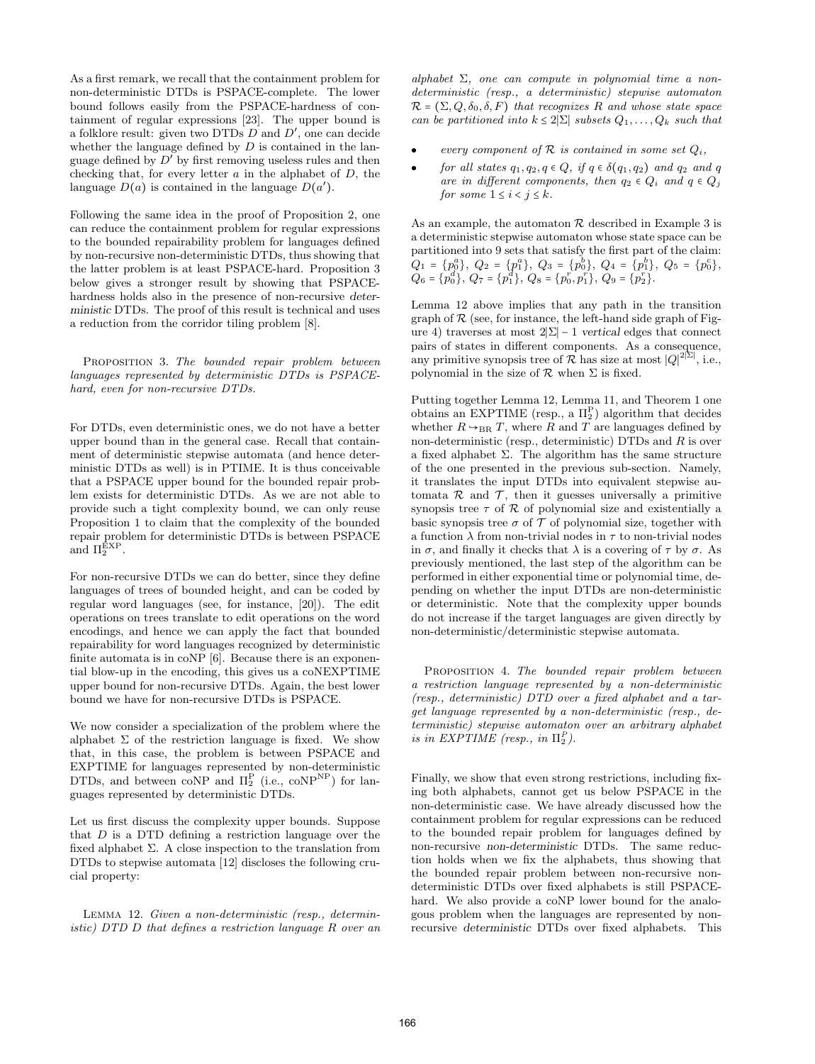As a first remark, we recall that the containment problem for non-deterministic DTDs is PSPACE-complete. The lower bound follows easily from the PSPACE-hardness of containment of regular expressions [23]. The upper bound is a folklore result: given two DTDs  $D$  and  $D'$ , one can decide whether the language defined by  $D$  is contained in the language defined by  $D'$  by first removing useless rules and then checking that, for every letter  $a$  in the alphabet of  $D$ , the language  $D(a)$  is contained in the language  $D(a')$ .

Following the same idea in the proof of Proposition 2, one can reduce the containment problem for regular expressions to the bounded repairability problem for languages defined by non-recursive non-deterministic DTDs, thus showing that the latter problem is at least PSPACE-hard. Proposition 3 below gives a stronger result by showing that PSPACEhardness holds also in the presence of non-recursive deterministic DTDs. The proof of this result is technical and uses a reduction from the corridor tiling problem [8].

PROPOSITION 3. The bounded repair problem between languages represented by deterministic DTDs is PSPACEhard, even for non-recursive DTDs.

For DTDs, even deterministic ones, we do not have a better upper bound than in the general case. Recall that containment of deterministic stepwise automata (and hence deterministic DTDs as well) is in PTIME. It is thus conceivable that a PSPACE upper bound for the bounded repair problem exists for deterministic DTDs. As we are not able to provide such a tight complexity bound, we can only reuse Proposition 1 to claim that the complexity of the bounded repair problem for deterministic DTDs is between PSPACE and  $\Pi_2^{\text{EXP}}$ .

For non-recursive DTDs we can do better, since they define languages of trees of bounded height, and can be coded by regular word languages (see, for instance, [20]). The edit operations on trees translate to edit operations on the word encodings, and hence we can apply the fact that bounded repairability for word languages recognized by deterministic finite automata is in coNP [6]. Because there is an exponential blow-up in the encoding, this gives us a coNEXPTIME upper bound for non-recursive DTDs. Again, the best lower bound we have for non-recursive DTDs is PSPACE.

We now consider a specialization of the problem where the alphabet  $\Sigma$  of the restriction language is fixed. We show that, in this case, the problem is between PSPACE and EXPTIME for languages represented by non-deterministic DTDs, and between coNP and  $\Pi_2^{\text{P}}$  (i.e., coNP<sup>NP</sup>) for languages represented by deterministic DTDs.

Let us first discuss the complexity upper bounds. Suppose that D is a DTD defining a restriction language over the fixed alphabet  $\Sigma$ . A close inspection to the translation from DTDs to stepwise automata [12] discloses the following crucial property:

Lemma 12. Given a non-deterministic (resp., deterministic) DTD D that defines a restriction language R over an alphabet  $\Sigma$ , one can compute in polynomial time a nondeterministic (resp., a deterministic) stepwise automaton  $\mathcal{R} = (\Sigma, Q, \delta_0, \delta, F)$  that recognizes R and whose state space can be partitioned into  $k \leq 2|\Sigma|$  subsets  $Q_1, \ldots, Q_k$  such that

- $\bullet$ every component of  $R$  is contained in some set  $Q_i$ ,
- $\bullet$ for all states  $q_1, q_2, q \in Q$ , if  $q \in \delta(q_1, q_2)$  and  $q_2$  and q are in different components, then  $q_2 \in Q_i$  and  $q \in Q_j$ for some  $1 \leq i \leq j \leq k$ .

As an example, the automaton  $R$  described in Example 3 is a deterministic stepwise automaton whose state space can be partitioned into 9 sets that satisfy the first part of the claim:  $Q_1 = \{p_0^a\},\ Q_2 = \{p_1^a\},\ Q_3 = \{p_0^b\},\ Q_4 = \{p_1^b\},\ Q_5 = \{p_0^c\},$  $Q_6 = \{p_0^d\},\ Q_7 = \{p_1^d\},\ Q_8 = \{p_0^r,p_1^r\},\ Q_9 = \{p_2^r\}.$ 

Lemma 12 above implies that any path in the transition graph of  $R$  (see, for instance, the left-hand side graph of Figure 4) traverses at most  $2|\Sigma| - 1$  vertical edges that connect pairs of states in different components. As a consequence, any primitive synopsis tree of  $\mathcal R$  has size at most  $|Q|^{2|\Sigma|}$ , i.e., polynomial in the size of  $\mathcal R$  when  $\Sigma$  is fixed.

Putting together Lemma 12, Lemma 11, and Theorem 1 one obtains an EXPTIME (resp., a  $\Pi_2^{\text{P}}$ ) algorithm that decides whether  $R \rightarrow_{BR} T$ , where R and T are languages defined by non-deterministic (resp., deterministic) DTDs and  $R$  is over a fixed alphabet Σ. The algorithm has the same structure of the one presented in the previous sub-section. Namely, it translates the input DTDs into equivalent stepwise automata  $\mathcal R$  and  $\mathcal T$ , then it guesses universally a primitive synopsis tree  $\tau$  of  $\mathcal R$  of polynomial size and existentially a basic synopsis tree  $\sigma$  of  $\mathcal T$  of polynomial size, together with a function  $\lambda$  from non-trivial nodes in  $\tau$  to non-trivial nodes in  $\sigma$ , and finally it checks that  $\lambda$  is a covering of  $\tau$  by  $\sigma$ . As previously mentioned, the last step of the algorithm can be performed in either exponential time or polynomial time, depending on whether the input DTDs are non-deterministic or deterministic. Note that the complexity upper bounds do not increase if the target languages are given directly by non-deterministic/deterministic stepwise automata.

PROPOSITION 4. The bounded repair problem between a restriction language represented by a non-deterministic (resp., deterministic) DTD over a fixed alphabet and a target language represented by a non-deterministic (resp., deterministic) stepwise automaton over an arbitrary alphabet is in EXPTIME (resp., in  $\Pi_2^P$ ).

Finally, we show that even strong restrictions, including fixing both alphabets, cannot get us below PSPACE in the non-deterministic case. We have already discussed how the containment problem for regular expressions can be reduced to the bounded repair problem for languages defined by non-recursive non-deterministic DTDs. The same reduction holds when we fix the alphabets, thus showing that the bounded repair problem between non-recursive nondeterministic DTDs over fixed alphabets is still PSPACEhard. We also provide a coNP lower bound for the analogous problem when the languages are represented by nonrecursive deterministic DTDs over fixed alphabets. This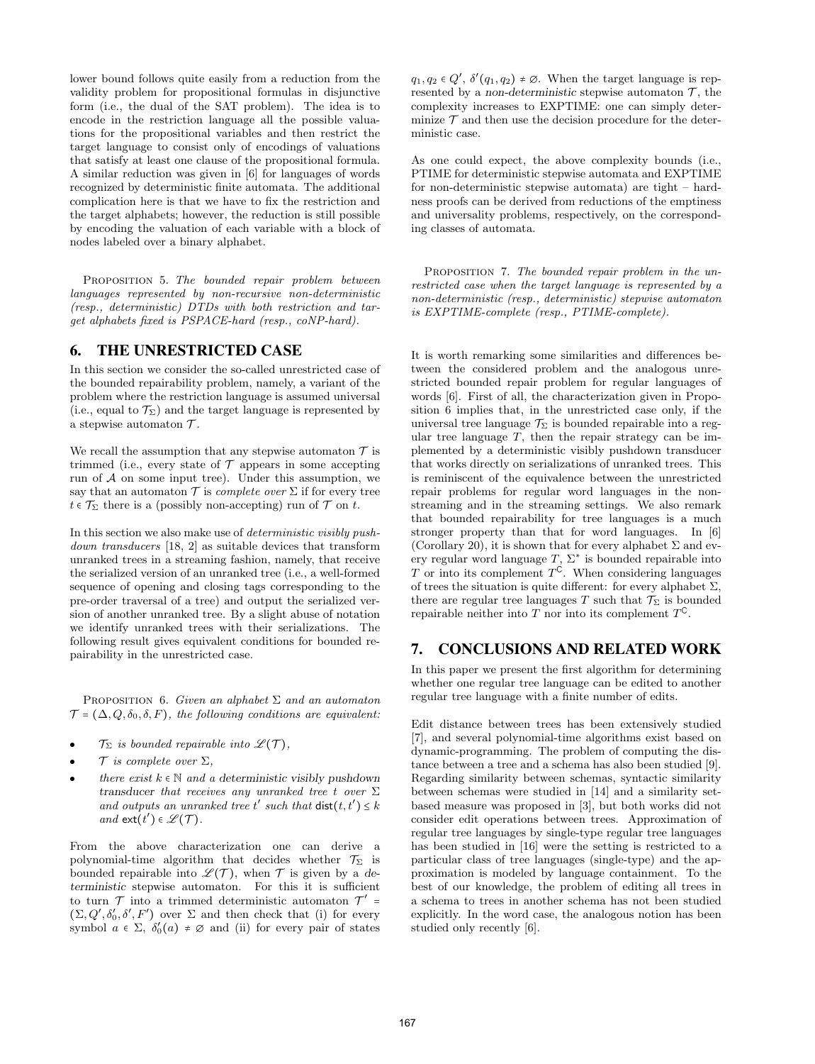lower bound follows quite easily from a reduction from the validity problem for propositional formulas in disjunctive form (i.e., the dual of the SAT problem). The idea is to encode in the restriction language all the possible valuations for the propositional variables and then restrict the target language to consist only of encodings of valuations that satisfy at least one clause of the propositional formula. A similar reduction was given in [6] for languages of words recognized by deterministic finite automata. The additional complication here is that we have to fix the restriction and the target alphabets; however, the reduction is still possible by encoding the valuation of each variable with a block of nodes labeled over a binary alphabet.

PROPOSITION 5. The bounded repair problem between languages represented by non-recursive non-deterministic (resp., deterministic) DTDs with both restriction and target alphabets fixed is PSPACE-hard (resp., coNP-hard).

# 6. THE UNRESTRICTED CASE

In this section we consider the so-called unrestricted case of the bounded repairability problem, namely, a variant of the problem where the restriction language is assumed universal (i.e., equal to  $\mathcal{T}_{\Sigma}$ ) and the target language is represented by a stepwise automaton  $\mathcal{T}$ .

We recall the assumption that any stepwise automaton  $\mathcal T$  is trimmed (i.e., every state of  $\mathcal T$  appears in some accepting run of  $A$  on some input tree). Under this assumption, we say that an automaton  $\mathcal T$  is *complete over*  $\Sigma$  if for every tree  $t \in \mathcal{T}_{\Sigma}$  there is a (possibly non-accepting) run of  $\mathcal{T}$  on t.

In this section we also make use of deterministic visibly pushdown transducers [18, 2] as suitable devices that transform unranked trees in a streaming fashion, namely, that receive the serialized version of an unranked tree (i.e., a well-formed sequence of opening and closing tags corresponding to the pre-order traversal of a tree) and output the serialized version of another unranked tree. By a slight abuse of notation we identify unranked trees with their serializations. The following result gives equivalent conditions for bounded repairability in the unrestricted case.

PROPOSITION 6. Given an alphabet  $\Sigma$  and an automaton  $\mathcal{T} = (\Delta, Q, \delta_0, \delta, F)$ , the following conditions are equivalent:

- $\bullet$  $\mathcal{T}_{\Sigma}$  is bounded repairable into  $\mathscr{L}(\mathcal{T}),$
- $\bullet$  $\mathcal T$  is complete over  $\Sigma$ ,
- $\bullet$ there exist  $k \in \mathbb{N}$  and a deterministic visibly pushdown transducer that receives any unranked tree t over  $\Sigma$ and outputs an unranked tree t' such that  $dist(t, t') \leq k$ and  $ext(t') \in \mathscr{L}(\mathcal{T})$ .

From the above characterization one can derive a polynomial-time algorithm that decides whether  $\mathcal{T}_{\Sigma}$  is bounded repairable into  $\mathscr{L}(\mathcal{T})$ , when  $\mathcal T$  is given by a deterministic stepwise automaton. For this it is sufficient to turn  $\mathcal T$  into a trimmed deterministic automaton  $\mathcal T'$  =  $(\Sigma, Q', \delta'_0, \delta', F')$  over  $\Sigma$  and then check that (i) for every symbol  $a \in \Sigma$ ,  $\delta'_0(a) \neq \emptyset$  and (ii) for every pair of states

 $q_1, q_2 \in Q', \delta'(q_1, q_2) \neq \emptyset$ . When the target language is represented by a non-deterministic stepwise automaton  $\mathcal{T}$ , the complexity increases to EXPTIME: one can simply determinize  $\mathcal T$  and then use the decision procedure for the deterministic case.

As one could expect, the above complexity bounds (i.e., PTIME for deterministic stepwise automata and EXPTIME for non-deterministic stepwise automata) are tight – hardness proofs can be derived from reductions of the emptiness and universality problems, respectively, on the corresponding classes of automata.

PROPOSITION 7. The bounded repair problem in the unrestricted case when the target language is represented by a non-deterministic (resp., deterministic) stepwise automaton is EXPTIME-complete (resp., PTIME-complete).

It is worth remarking some similarities and differences between the considered problem and the analogous unrestricted bounded repair problem for regular languages of words [6]. First of all, the characterization given in Proposition 6 implies that, in the unrestricted case only, if the universal tree language  $\mathcal{T}_\Sigma$  is bounded repairable into a regular tree language  $T$ , then the repair strategy can be implemented by a deterministic visibly pushdown transducer that works directly on serializations of unranked trees. This is reminiscent of the equivalence between the unrestricted repair problems for regular word languages in the nonstreaming and in the streaming settings. We also remark that bounded repairability for tree languages is a much stronger property than that for word languages. In [6] (Corollary 20), it is shown that for every alphabet  $\Sigma$  and every regular word language  $T, \Sigma^*$  is bounded repairable into T or into its complement  $T^{\mathbb{C}}$ . When considering languages of trees the situation is quite different: for every alphabet  $\Sigma$ , there are regular tree languages T such that  $\mathcal{T}_{\Sigma}$  is bounded repairable neither into T nor into its complement  $T^{\mathsf{C}}$ .

## 7. CONCLUSIONS AND RELATED WORK

In this paper we present the first algorithm for determining whether one regular tree language can be edited to another regular tree language with a finite number of edits.

Edit distance between trees has been extensively studied [7], and several polynomial-time algorithms exist based on dynamic-programming. The problem of computing the distance between a tree and a schema has also been studied [9]. Regarding similarity between schemas, syntactic similarity between schemas were studied in [14] and a similarity setbased measure was proposed in [3], but both works did not consider edit operations between trees. Approximation of regular tree languages by single-type regular tree languages has been studied in [16] were the setting is restricted to a particular class of tree languages (single-type) and the approximation is modeled by language containment. To the best of our knowledge, the problem of editing all trees in a schema to trees in another schema has not been studied explicitly. In the word case, the analogous notion has been studied only recently [6].